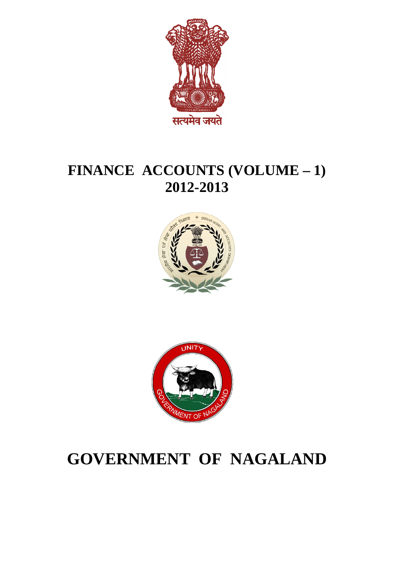

# **FINANCE ACCOUNTS (VOLUME – 1) 2012-2013**





# **GOVERNMENT OF NAGALAND**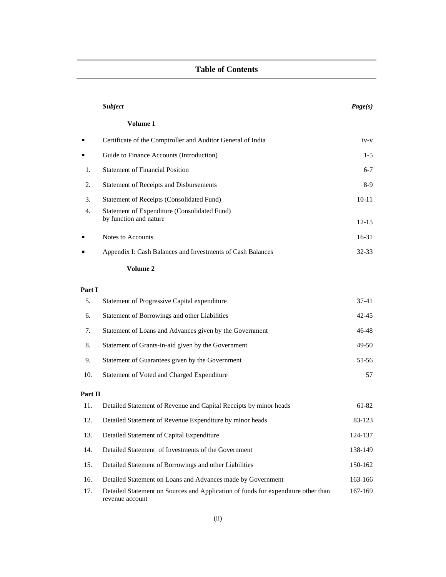#### **Table of Contents**

| <b>Subject</b>                                                            | Page(s)   |
|---------------------------------------------------------------------------|-----------|
| Volume 1                                                                  |           |
| Certificate of the Comptroller and Auditor General of India               | $iv-v$    |
| Guide to Finance Accounts (Introduction)                                  | $1-5$     |
| <b>Statement of Financial Position</b>                                    | $6 - 7$   |
| 2. Statement of Receipts and Disbursements                                | $8-9$     |
| 3. Statement of Receipts (Consolidated Fund)                              | $10 - 11$ |
| 4. Statement of Expenditure (Consolidated Fund)<br>by function and nature | $12 - 15$ |
| Notes to Accounts                                                         | $16-31$   |
| Appendix I: Cash Balances and Investments of Cash Balances                | $32 - 33$ |

#### **Volume 2**

revenue account

#### **Part I**

|         | 5. Statement of Progressive Capital expenditure                                       | $37-41$   |
|---------|---------------------------------------------------------------------------------------|-----------|
| 6.      | Statement of Borrowings and other Liabilities                                         | $42 - 45$ |
|         | 7. Statement of Loans and Advances given by the Government                            | 46-48     |
|         | 8. Statement of Grants-in-aid given by the Government                                 | 49-50     |
|         | 9. Statement of Guarantees given by the Government                                    | 51-56     |
|         | 10. Statement of Voted and Charged Expenditure                                        | 57        |
| Part II |                                                                                       |           |
|         | 11. Detailed Statement of Revenue and Capital Receipts by minor heads                 | 61-82     |
|         | 12. Detailed Statement of Revenue Expenditure by minor heads                          | 83-123    |
|         | 13. Detailed Statement of Capital Expenditure                                         | 124-137   |
|         | 14. Detailed Statement of Investments of the Government                               | 138-149   |
|         | 15. Detailed Statement of Borrowings and other Liabilities                            | 150-162   |
|         | ed Statement on Loans and Advances made by Government<br>16. Detaile                  | 163-166   |
|         | 17. Detailed Statement on Sources and Application of funds for expenditure other than | 167-169   |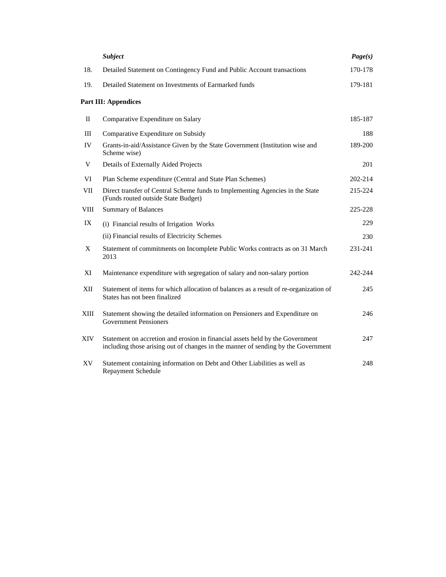|    | <b>Subject</b>                                                                                                                                                         | Page(s) |
|----|------------------------------------------------------------------------------------------------------------------------------------------------------------------------|---------|
|    | 18. Detailed Statement on Contingency Fund and Public Account transactions                                                                                             | 170-178 |
|    | 19. Detailed Statement on Investments of Earmarked funds                                                                                                               | 179-181 |
|    | Part III: Appendices                                                                                                                                                   |         |
|    | II Comparative Expenditure on Salary                                                                                                                                   | 185-187 |
|    | III Comparative Expenditure on Subsidy                                                                                                                                 | 188     |
| IV | Grants-in-aid/Assistance Given by the State Government (Institution wise and<br>Scheme wise)                                                                           | 189-200 |
|    | V Details of Externally Aided Projects                                                                                                                                 | 201     |
|    | VI Plan Scheme expenditure (Central and State Plan Schemes)                                                                                                            | 202-214 |
|    | VII Direct transfer of Central Scheme funds to Implementing Agencies in the State<br>(Funds routed outside State Budget)                                               | 215-224 |
|    | VIII Summary of Balances                                                                                                                                               | 225-228 |
|    | IX (i) Financial results of Irrigation Works                                                                                                                           | 229     |
|    | (ii) Financial results of Electricity Schemes                                                                                                                          | 230     |
|    | X Statement of commitments on Incomplete Public Works contracts as on 31 March<br>2013                                                                                 | 231-241 |
|    | XI Maintenance expenditure with segregation of salary and non-salary portion                                                                                           | 242-244 |
|    | XII Statement of items for which allocation of balances as a result of re-organization of<br>States has not been finalized                                             | 245     |
|    | XIII Statement showing the detailed information on Pensioners and Expenditure on<br><b>Government Pensioners</b>                                                       | 246     |
|    | XIV Statement on accretion and erosion in financial assets held by the Government<br>including those arising out of changes in the manner of sending by the Government | 247     |
| XV | Statement containing information on Debt and Other Liabilities as well as<br>Repayment Schedule                                                                        | 248     |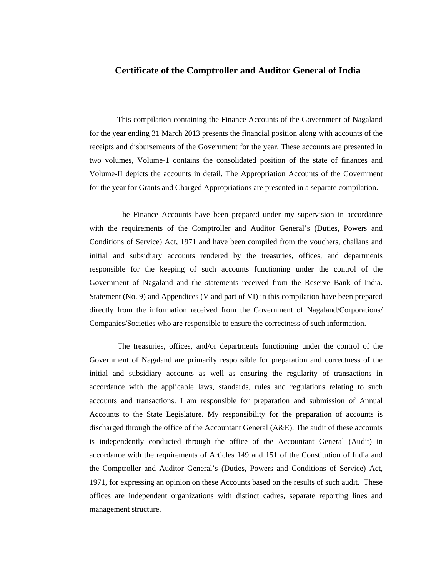#### **Certificate of the Comptroller and Auditor General of India**

This compilation containing the Finance Accounts of the Government of Nagaland for the year ending 31 March 2013 presents the financial position along with accounts of the receipts and disbursements of the Government for the year. These accounts are presented in two volumes, Volume-1 contains the consolidated position of the state of finances and Volume-II depicts the accounts in detail. The Appropriation Accounts of the Government for the year for Grants and Charged Appropriations are presented in a separate compilation.

The Finance Accounts have been prepared under my supervision in accordance with the requirements of the Comptroller and Auditor General's (Duties, Powers and Conditions of Service) Act, 1971 and have been compiled from the vouchers, challans and initial and subsidiary accounts rendered by the treasuries, offices, and departments responsible for the keeping of such accounts functioning under the control of the Government of Nagaland and the statements received from the Reserve Bank of India. Statement (No. 9) and Appendices (V and part of VI) in this compilation have been prepared directly from the information received from the Government of Nagaland/Corporations/ Companies/Societies who are responsible to ensure the correctness of such information.

The treasuries, offices, and/or departments functioning under the control of the Government of Nagaland are primarily responsible for preparation and correctness of the initial and subsidiary accounts as well as ensuring the regularity of transactions in accordance with the applicable laws, standards, rules and regulations relating to such accounts and transactions. I am responsible for preparation and submission of Annual Accounts to the State Legislature. My responsibility for the preparation of accounts is discharged through the office of the Accountant General (A&E). The audit of these accounts is independently conducted through the office of the Accountant General (Audit) in accordance with the requirements of Articles 149 and 151 of the Constitution of India and the Comptroller and Auditor General's (Duties, Powers and Conditions of Service) Act, 1971, for expressing an opinion on these Accounts based on the results of such audit. These offices are independent organizations with distinct cadres, separatereporting lines and management structure.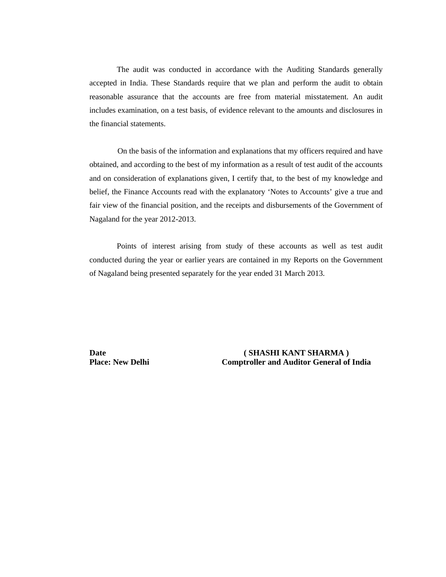The audit was conducted in accordance with the Auditing Standards generally accepted in India. These Standards require that we plan and perform the audit to obtain reasonable assurance that the accounts are free from material misstatement. An audit includes examination, on a test basis, of evidence relevant to the amounts and disclosures in the financial statements.

On the basis of the information and explanations that my officers required and have obtained, and according to the best of my information as a result of test audit of the accounts and on consideration of explanations given, I certify that, to the best of my knowledge and belief, the Finance Accounts read with the explanatory 'Notes to Accounts' give a true and fair view of the financial position, and the receipts and disbursements of the Government of Nagaland for the year 2012-2013.

Points of interest arising from study of these accounts as well as test audit conducted during the year or earlier years are contained in my Reports on the Government of Nagaland being presented separately for the year ended 31 March 2013.

**Date ( SHASHI KANT SHARMA ) Place: New Delhi Comptroller and Auditor General of India**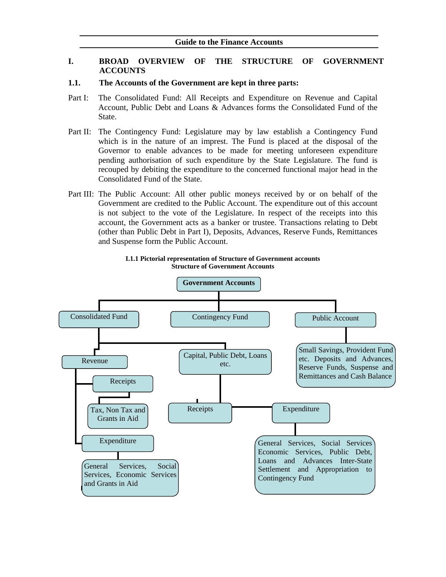#### **I. BROAD OVERVIEW OF THE STRUCTURE OF GOVERNMENT ACCOUNTS**

#### **1.1. The Accounts of the Government are kept in three parts:**

- Part I: The Consolidated Fund: All Receipts and Expenditure on Revenue and Capital Account, Public Debt and Loans & Advances forms the Consolidated Fund of the State.
- Part II: The Contingency Fund: Legislature may by law establish a Contingency Fund which is in the nature of an imprest. The Fund is placed at the disposal of the Governor to enable advances to be made for meeting unforeseen expenditure pending authorisation of such expenditure by the State Legislature. The fund is recouped by debiting the expenditure to the concerned functional major head in the Consolidated Fund of the State.
- Part III: The Public Account: All other public moneys received by or on behalf of the Government are credited to the Public Account. The expenditure out of this account is not subject to the vote of the Legislature. In respect of the receipts into this account, the Government acts as a banker or trustee. Transactions relating to Debt (other than Public Debt in Part I), Deposits, Advances, Reserve Funds, Remittances and Suspense form the Public Account.



#### **I.1.1 Pictorial representation of Structure of Government accounts Structure of Government Accounts**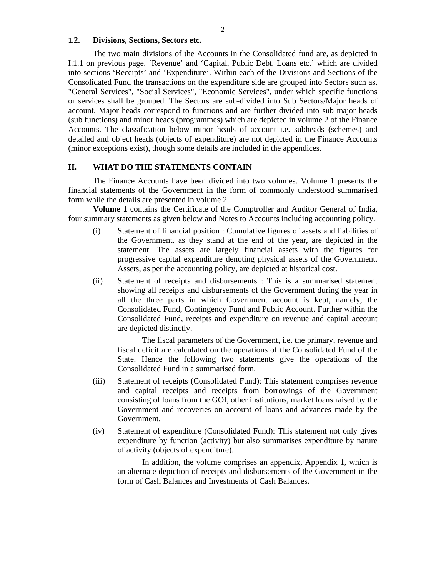#### **1.2. Divisions, Sections, Sectors etc.**

The two main divisions of the Accounts in the Consolidated fund are, as depicted in I.1.1 on previous page, 'Revenue' and 'Capital, Public Debt, Loans etc.' which are divided into sections 'Receipts' and 'Expenditure'. Within each of the Divisions and Sections of the Consolidated Fund the transactions on the expenditure side are grouped into Sectors such as, "General Services", "Social Services", "Economic Services", under which specific functions or services shall be grouped. The Sectors are sub-divided into Sub Sectors/Major heads of account. Major heads correspond to functions and are further divided into sub major heads (sub functions) and minor heads (programmes) which are depicted in volume 2 of the Finance Accounts. The classification below minor heads of account i.e. subheads (schemes) and detailed and object heads (objects of expenditure) are not depicted in the Finance Accounts (minor exceptions exist), though some details are included in the appendices.

#### **II. WHAT DO THE STATEMENTS CONTAIN**

The Finance Accounts have been divided into two volumes. Volume 1 presents the financial statements of the Government in the form of commonly understood summarised form while the details are presented in volume 2.

**Volume 1** contains the Certificate of the Comptroller and Auditor General of India, four summary statements as given below and Notes to Accounts including accounting policy.

- (i) Statement of financial position : Cumulative figures of assets and liabilities of the Government, as they stand at the end of the year, are depicted in the statement. The assets are largely financial assets with the figures for progressive capital expenditure denoting physical assets of the Government. Assets, as per the accounting policy, are depicted at historical cost.
- (ii) Statement of receipts and disbursements : This is a summarised statement showing all receipts and disbursements of the Government during the year in all the three parts in which Government account is kept, namely, the Consolidated Fund, Contingency Fund and Public Account. Further within the Consolidated Fund, receipts and expenditure on revenue and capital account are depicted distinctly.

The fiscal parameters of the Government, i.e. the primary, revenue and fiscal deficit are calculated on the operations of the Consolidated Fund of the State. Hence the following two statements give the operations of the Consolidated Fund in a summarised form.

- (iii) Statement of receipts (Consolidated Fund): This statement comprises revenue and capital receipts and receipts from borrowings of the Government consisting of loans from the GOI, other institutions, market loans raised by the Government and recoveries on account of loans and advances made by the Government.
- (iv) Statement of expenditure (Consolidated Fund): This statement not only gives expenditure by function (activity) but also summarises expenditure by nature of activity (objects of expenditure).

In addition, the volume comprises an appendix, Appendix 1, which is an alternate depiction of receipts and disbursements of the Government in the form of Cash Balances and Investments of Cash Balances.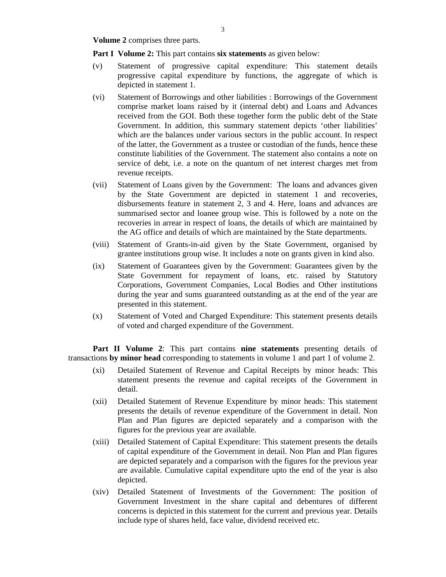**Volume 2** comprises three parts.

**Part I Volume 2:** This part contains **six statements** as given below:

- (v) Statement of progressive capital expenditure: This statement details progressive capital expenditure by functions, the aggregate of which is depicted in statement 1.
- (vi) Statement of Borrowings and other liabilities : Borrowings of the Government comprise market loans raised by it (internal debt) and Loans and Advances received from the GOI. Both these together form the public debt of the State Government. In addition, this summary statement depicts 'other liabilities' which are the balances under various sectors in the public account. In respect of the latter, the Government as a trustee or custodian of the funds, hence these constitute liabilities of the Government. The statement also contains a note on service of debt, i.e. a note on the quantum of net interest charges met from revenue receipts.
- (vii) Statement of Loans given by the Government: The loans and advances given by the State Government are depicted in statement 1 and recoveries, disbursements feature in statement 2, 3 and 4. Here, loans and advances are summarised sector and loanee group wise. This is followed by a note on the recoveries in arrear in respect of loans, the details of which are maintained by the AG office and details of which are maintained by the State departments.
- (viii) Statement of Grants-in-aid given by the State Government, organised by grantee institutions group wise. It includes a note on grants given in kind also.
- (ix) Statement of Guarantees given by the Government: Guarantees given by the State Government for repayment of loans, etc. raised by Statutory Corporations, Government Companies, Local Bodies and Other institutions during the year and sums guaranteed outstanding as at the end of the year are presented in this statement.
- (x) Statement of Voted and Charged Expenditure: This statement presents details of voted and charged expenditure of the Government.

**Part II Volume 2**: This part contains **nine statements** presenting details of transactions **by minor head** corresponding to statements in volume 1 and part 1 of volume 2.

- (xi) Detailed Statement of Revenue and Capital Receipts by minor heads: This statement presents the revenue and capital receipts of the Government in detail. **Exercise the contract of the contract of the contract of the contract of the contract of the contract of the contract of the contract of the contract of the contract of the contract of the contract of the contract**
- (xii) Detailed Statement of Revenue Expenditure by minor heads: This statement presents the details of revenue expenditure of the Government in detail. Non Plan and Plan figures are depicted separately and a comparison with the figures for the previous year are available.
- (xiii) Detailed Statement of Capital Expenditure: This statement presents the details of capital expenditure of the Government in detail. Non Plan and Plan figures are depicted separately and a comparison with the figures for the previous year are available. Cumulative capital expenditure upto the end of the year is also depicted. The contract of the contract of the contract of the contract of the contract of the contract of the contract of the contract of the contract of the contract of the contract of the contract of the contract of the
- (xiv) Detailed Statement of Investments of the Government: The position of Government Investment in the share capital and debentures of different concerns is depicted in this statement for the current and previous year. Details include type of shares held, face value, dividend received etc.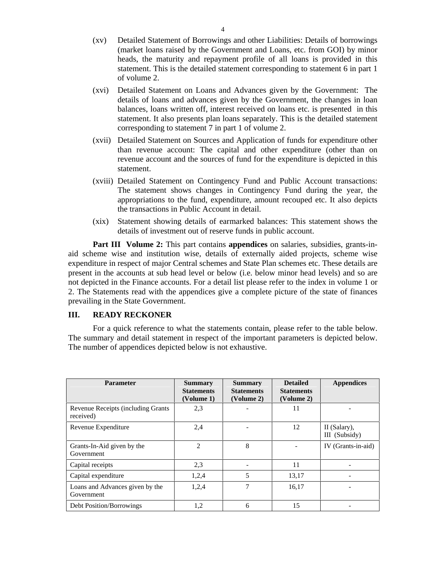- (xv) Detailed Statement of Borrowings and other Liabilities: Details of borrowings (market loans raised by the Government and Loans, etc. from GOI) by minor heads, the maturity and repayment profile of all loans is provided in this statement. This is the detailed statement corresponding to statement 6 in part 1 of volume 2.
- (xvi) Detailed Statement on Loans and Advances given by the Government: The details of loans and advances given by the Government, the changes in loan balances, loans written off, interest received on loans etc. is presented in this statement. It also presents plan loans separately. This is the detailed statement corresponding to statement 7 in part 1 of volume 2.
- (xvii) Detailed Statement on Sources and Application of funds for expenditure other than revenue account: The capital and other expenditure (other than on revenue account and the sources of fund for the expenditure is depicted in this statement.
- (xviii) Detailed Statement on Contingency Fund and Public Account transactions: The statement shows changes in Contingency Fund during the year, the appropriations to the fund, expenditure, amount recouped etc. It also depicts the transactions in Public Account in detail.
- (xix) Statement showing details of earmarked balances: This statement shows the details of investment out of reserve funds in public account.

**Part III Volume 2:** This part contains **appendices** on salaries, subsidies, grants-in aid scheme wise and institution wise, details of externally aided projects, schemewise expenditure in respect of major Central schemes and State Plan schemes etc. These details are present in the accounts at sub head level or below (i.e. below minor head levels) and so are not depicted in the Finance accounts. For a detail list please refer to the index in volume 1 or 2. The Statements read with the appendices give a complete picture of the state of finances prevailing in the State Government.

#### **III. READY RECKONER**

For a quick reference to what the statements contain, please refer to the table below.<br>The summary and detail statement in respect of the important parameters is depicted below. The number of appendices depicted below is not exhaustive.

| Parameter                                     | Summary<br><b>Statements</b> | <b>Summary</b><br><b>Statements</b> | <b>Detailed</b><br><b>Statements</b> | <b>Appendices</b>             |
|-----------------------------------------------|------------------------------|-------------------------------------|--------------------------------------|-------------------------------|
|                                               | (Volume 1)                   | (Volume 2)                          | (Volume 2)                           |                               |
| Revenue Receipts (including Grants            | 2,3                          |                                     | 11                                   | $\overline{\phantom{0}}$      |
| Revenue Expenditure                           | 2,4                          |                                     | 12                                   | II (Salary),<br>III (Subsidy) |
| Grants-In-Aid given by the<br>Government      | $\mathcal{L}$                |                                     |                                      | IV (Grants-in-aid)            |
| Capital receipts                              | 2,3                          |                                     |                                      | $\sim$                        |
| Capital expenditure                           | 1,2,4                        |                                     | 13,17                                |                               |
| Loans and Advances given by the<br>Government | 1,2,4                        |                                     | 16,17                                |                               |
| Debt Position/Borrowings                      | 1,2                          |                                     |                                      |                               |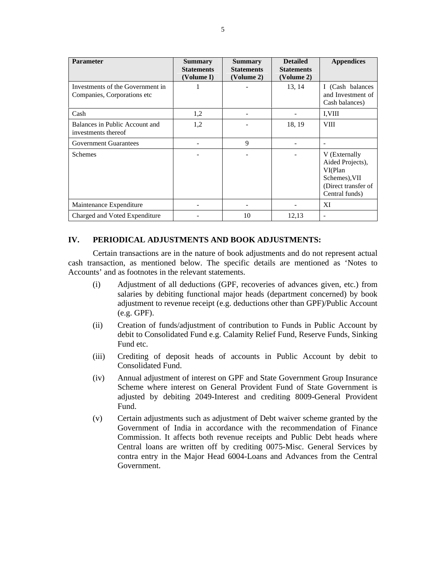| Parameter                                                                                                                                                                                                                                                                                                                                                                                                                                                                                                     | Summary<br><b>Statements</b> | <b>Summary</b><br><b>Statements</b> | <b>Detailed</b><br><b>Statements</b> | <b>Appendices</b>                                                                                       |
|---------------------------------------------------------------------------------------------------------------------------------------------------------------------------------------------------------------------------------------------------------------------------------------------------------------------------------------------------------------------------------------------------------------------------------------------------------------------------------------------------------------|------------------------------|-------------------------------------|--------------------------------------|---------------------------------------------------------------------------------------------------------|
|                                                                                                                                                                                                                                                                                                                                                                                                                                                                                                               | (Volume I)                   | (Volume 2)                          | (Volume 2)                           |                                                                                                         |
| Investments of the Government in<br>Companies, Corporations etc                                                                                                                                                                                                                                                                                                                                                                                                                                               |                              |                                     | 13, 14                               | Cash balances<br>and Investment of<br>Cash balances)                                                    |
| Cash                                                                                                                                                                                                                                                                                                                                                                                                                                                                                                          | 1,2                          |                                     |                                      | I, VIII                                                                                                 |
| Balances in Public Account and<br>investments thereof                                                                                                                                                                                                                                                                                                                                                                                                                                                         | 1,2                          |                                     | 18, 19                               | <b>VIII</b>                                                                                             |
| <b>Government Guarantees</b>                                                                                                                                                                                                                                                                                                                                                                                                                                                                                  | $\sim$ $ \sim$               |                                     | $\sim$                               |                                                                                                         |
| Schemes                                                                                                                                                                                                                                                                                                                                                                                                                                                                                                       | $\sim$ $  \sim$              |                                     | $\sim$ $-$                           | V (Externally<br>Aided Projects),<br>VI(Plan)<br>Schemes), VII<br>(Direct transfer of<br>Central funds) |
| Maintenance Expenditure                                                                                                                                                                                                                                                                                                                                                                                                                                                                                       | $\sim$                       | $\overline{\phantom{0}}$            | $\sim$ $-$                           | XI                                                                                                      |
| Charged and Voted Expenditure                                                                                                                                                                                                                                                                                                                                                                                                                                                                                 | $\sim$ $-$                   | 10                                  | 12,13                                |                                                                                                         |
| Accounts' and as footnotes in the relevant statements.<br>Adjustment of all deductions (GPF, recoveries of advances given, etc.) from<br>(i)<br>salaries by debiting functional major heads (department concerned) by book<br>adjustment to revenue receipt (e.g. deductions other than GPF)/Public Account<br>(e.g. GPF).<br>Creation of funds/adjustment of contribution to Funds in Public Account by<br>(ii)<br>debit to Consolidated Fund e.g. Calamity Relief Fund, Reserve Funds, Sinking<br>Fund etc. |                              |                                     |                                      |                                                                                                         |
| Crediting of deposit heads of accounts in Public Account by debit to<br>(iii)<br>Consolidated Fund.                                                                                                                                                                                                                                                                                                                                                                                                           |                              |                                     |                                      |                                                                                                         |
| Annual adjustment of interest on GPF and State Government Group Insurance<br>(iv)<br>Scheme where interest on General Provident Fund of State Government is<br>adjusted by debiting 2049-Interest and crediting 8009-General Provident<br>Fund.<br>Certain adjustments such as adjustment of Debt waiver scheme granted by the<br>(V)                                                                                                                                                                         |                              |                                     |                                      |                                                                                                         |
| Government of India in accordance with the recommendation of Finance<br>Commission. It affects both revenue receipts and Public Debt heads where<br>Central loans are written off by crediting 0075-Misc. General Services by<br>contra entry in the Major Head 6004-Loans and Advances from the Central<br>Government.                                                                                                                                                                                       |                              |                                     |                                      |                                                                                                         |

#### **IV. PERIODICAL ADJUSTMENTS AND BOOK ADJUSTMENTS:**

- (i) Adjustment of all deductions (GPF, recoveries of advances given, etc.) from salaries by debiting functional major heads (department concerned) by book adjustment to revenue receipt (e.g. deductions other than GPF)/Public Account (e.g. GPF).
- (ii) Creation of funds/adjustment of contribution to Funds in Public Account by debit to Consolidated Fund e.g. Calamity Relief Fund, Reserve Funds, Sinking Fund etc.
- (iii) Crediting of deposit heads of accounts in Public Account by debit to Consolidated Fund.
- (iv) Annual adjustment of interest on GPF and State Government Group Insurance Scheme where interest on General Provident Fund of State Government is adjusted by debiting 2049-Interest and crediting 8009-General Provident Fund.
- (v) Certain adjustments such as adjustment of Debt waiver scheme granted by the Government of India in accordance with the recommendation of Finance Commission. It affects both revenue receipts and Public Debt heads where Central loans are written off by crediting 0075-Misc. General Services by contra entry in the Major Head 6004-Loans and Advances from the Central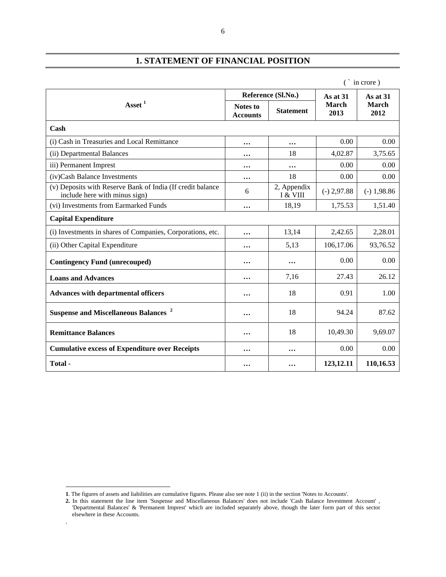# **1. STATEMENT OF FINANCIAL POSITION**

|                                                                                             |                             |                           | $\infty$ in crore)          |                      |
|---------------------------------------------------------------------------------------------|-----------------------------|---------------------------|-----------------------------|----------------------|
|                                                                                             |                             | Reference (Sl.No.)        | As at 31                    | <b>As at 31</b>      |
| Asset $^1$                                                                                  | Notes to<br><b>Accounts</b> | <b>Statement</b>          | <b>March</b><br>2013        | <b>March</b><br>2012 |
| Cash                                                                                        |                             |                           |                             |                      |
| i) Cash in Treasuries and Local Remittance                                                  | $\cdots$                    | $\cdots$                  | 0.00                        | 0.00                 |
| (ii) Departmental Balances                                                                  | $\cdots$                    | 18                        | 4,02.87                     | 3,75.65              |
| iii) Permanent Imprest                                                                      | $\cdots$                    | $\cdots$                  | 0.00                        | 0.00                 |
| (iv)Cash Balance Investments                                                                | $\cdots$                    | 18                        | 0.00                        | 0.00                 |
| (v) Deposits with Reserve Bank of India (If credit balance<br>include here with minus sign) |                             | 2, Appendix<br>I & VIII   | $(-) 2,97.88$ $(-) 1,98.86$ |                      |
| (vi) Investments from Earmarked Funds                                                       | $\cdots$                    | 18,19                     | 1,75.53                     | 1,51.40              |
| <b>Capital Expenditure</b>                                                                  |                             |                           |                             |                      |
| i) Investments in shares of Companies, Corporations, etc.                                   | $\bullet\bullet\bullet$     | 13,14                     | 2,42.65                     | 2,28.01              |
| (ii) Other Capital Expenditure                                                              | $\bullet\bullet\bullet$     | 5,13                      | 106,17.06                   | 93,76.52             |
| <b>Contingency Fund (unrecouped)</b>                                                        | $\bullet\bullet\bullet$     | $\bullet\bullet\bullet$   | 0.00                        | 0.00                 |
| <b>Loans and Advances</b>                                                                   | $\bullet\bullet\bullet$     | 7,16                      | 27.43                       | 26.12                |
| Advances with departmental officers                                                         | $\bullet\bullet\bullet$ .   | 18                        | 0.91                        | 1.00                 |
| Suspense and Miscellaneous Balances <sup>2</sup>                                            | $\bullet\bullet\bullet$ .   | 18                        | 94.24                       | 87.62                |
| <b>Remittance Balances</b>                                                                  | $\cdots$                    | 18                        | 10,49.30                    | 9,69.07              |
| <b>Cumulative excess of Expenditure over Receipts</b>                                       | $\cdots$                    | $\bullet\bullet\bullet$ . | 0.00                        | 0.00                 |
|                                                                                             |                             |                           |                             |                      |

 $\overline{a}$ 

.

6

**<sup>1</sup>**. The figures of assets and liabilities are cumulative figures. Please also see note 1 (ii) in the section 'Notes to Accounts'.

**<sup>2.</sup>** In this statement the line item 'Suspense and Miscellaneous Balances' does not include 'Cash Balance Investment Account' , 'Departmental Balances' & 'Permanent Imprest' which are included separately above, though the later form part of this sector elsewhere in these Accounts.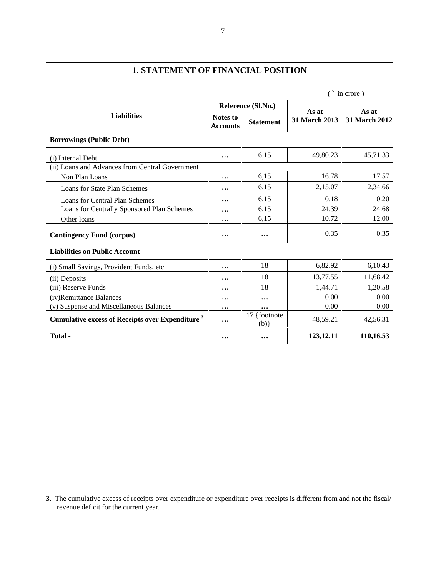# **1. STATEMENT OF FINANCIAL POSITION**

|                                                                    |                         |                         |                                      | $\hat{\ }$ in crore) |
|--------------------------------------------------------------------|-------------------------|-------------------------|--------------------------------------|----------------------|
|                                                                    |                         | Reference (Sl.No.)      |                                      |                      |
| <b>Liabilities</b>                                                 | <b>Notes to</b>         |                         | As at<br>31 March 2013 31 March 2012 | As at                |
|                                                                    | <b>Accounts</b>         | <b>Statement</b>        |                                      |                      |
| <b>Borrowings (Public Debt)</b>                                    |                         |                         |                                      |                      |
| (i) Internal Debt                                                  | $\bullet\bullet\bullet$ | 6,15                    | 49,80.23                             | 45,71.33             |
| (ii) Loans and Advances from Central Government                    |                         |                         |                                      |                      |
| Non Plan Loans                                                     | $\cdots$                | 6,15                    | 16.78                                | 17.57                |
| Loans for State Plan Schemes                                       | $\cdots$                | 6,15                    | 2,15.07                              | 2,34.66              |
| <b>Loans for Central Plan Schemes</b>                              | $\cdots$                | 6,15                    | 0.18                                 | 0.20                 |
| Loans for Centrally Sponsored Plan Schemes                         |                         | 6,15                    | 24.39                                | 24.68                |
| Other loans                                                        | $\cdots$                | 6,15                    | 10.72                                | 12.00                |
| <b>Contingency Fund (corpus)</b>                                   | $\cdots$                | $\bullet\bullet\bullet$ | 0.35                                 | 0.35                 |
| <b>Liabilities on Public Account</b>                               |                         |                         |                                      |                      |
| (i) Small Savings, Provident Funds, etc                            | $\cdots$                | 18                      | 6,82.92                              | 6,10.43              |
| (ii) Deposits                                                      | $\cdots$                | 18                      | 13,77.55                             | 11,68.42             |
| (iii) Reserve Funds                                                | $\cdots$                | 18                      | 1,44.71                              | 1,20.58              |
| (iv)Remittance Balances                                            | $\cdots$                | $\cdots$                | 0.00                                 | 0.00                 |
| (v) Suspense and Miscellaneous Balances                            | $\cdots$                | $\cdots$                | 0.00                                 | 0.00                 |
| <b>Cumulative excess of Receipts over Expenditure</b> <sup>3</sup> |                         | 17 {footnote<br>(h)     | 48,59.21                             | 42,56.31             |
| Total-                                                             | $\bullet\bullet\bullet$ | $\bullet\bullet\bullet$ | 123, 12.11                           | 110,16.53            |

 $\overline{\phantom{a}}$  , we can assume that the contract of the contract of the contract of the contract of the contract of the contract of the contract of the contract of the contract of the contract of the contract of the contract

**<sup>3.</sup>** The cumulative excess of receipts over expenditure or expenditure over receipts is different from and not the fiscal/ revenue deficit for the current year.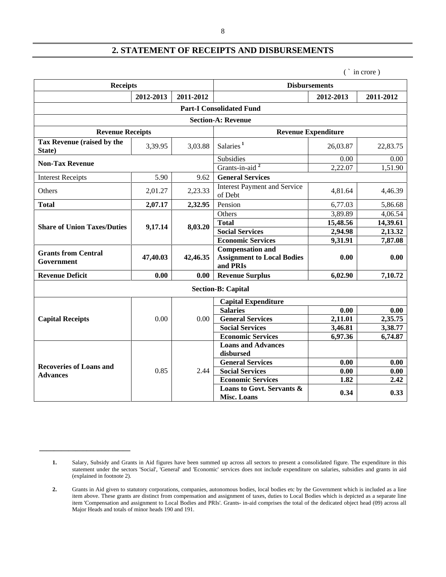# **2. STATEMENT OF RECEIPTS AND DISBURSEMENTS**

( ` in crore )

**\_\_\_\_\_\_\_\_\_\_\_\_\_\_\_\_\_\_\_\_\_\_\_\_\_**

| <b>Receipts</b>                          |                         |                   | <b>Disbursements</b>                                  |                            |                     |  |  |
|------------------------------------------|-------------------------|-------------------|-------------------------------------------------------|----------------------------|---------------------|--|--|
|                                          | $2012 - 2013$ 2011-2012 |                   |                                                       | 2012-2013                  | 2011-2012           |  |  |
| <b>Part-I Consolidated Fund</b>          |                         |                   |                                                       |                            |                     |  |  |
|                                          |                         |                   | <b>Section-A: Revenue</b>                             |                            |                     |  |  |
| <b>Revenue Receipts</b>                  |                         |                   |                                                       | <b>Revenue Expenditure</b> |                     |  |  |
| Tax Revenue (raised by the<br>State)     | 3,39.95                 |                   | $3,03.88$ Salaries <sup>1</sup>                       | 26,03.87                   | 22,83.75            |  |  |
| <b>Non-Tax Revenue</b>                   |                         |                   | Subsidies                                             | 0.00                       | 0.00                |  |  |
|                                          |                         |                   | Grants-in-aid <sup>2</sup>                            | 2,22.07                    | 1,51.90             |  |  |
| <b>Interest Receipts</b>                 | 5.90                    |                   | 9.62 General Services                                 |                            |                     |  |  |
| Others                                   | 2,01.27                 | 2,23.33           | <b>Interest Payment and Service</b><br>of Debt        | 4,81.64                    | 4,46.39             |  |  |
| <b>Total</b>                             | 2,07.17                 | $2,32.95$ Pension |                                                       | 6,77.03                    | 5,86.68             |  |  |
|                                          | 9,17.14                 |                   | Others                                                | 3,89.89                    | 4,06.54             |  |  |
| <b>Share of Union Taxes/Duties</b>       |                         | 8,03.20           | <b>Total</b>                                          | 15,48.56                   | 14,39.61            |  |  |
|                                          |                         |                   | <b>Social Services</b>                                | 2,94.98                    | 2,13.32             |  |  |
|                                          |                         |                   | <b>Economic Services</b><br><b>Compensation and</b>   | 9,31.91                    | 7,87.08             |  |  |
| <b>Grants from Central</b><br>Government | 47,40.03                |                   | 42,46.35   Assignment to Local Bodies<br>and PRIs     | 0.00                       | 0.00                |  |  |
| <b>Revenue Deficit</b>                   | 0.00                    |                   | 0.00 Revenue Surplus                                  | 6,02.90                    | 7,10.72             |  |  |
|                                          |                         |                   | <b>Section-B: Capital</b>                             |                            |                     |  |  |
|                                          |                         |                   | <b>Capital Expenditure</b>                            |                            |                     |  |  |
|                                          | 0.00                    |                   | <b>Salaries</b>                                       | 0.00                       | 0.00                |  |  |
| <b>Capital Receipts</b>                  |                         | $0.00\,$          | <b>General Services</b>                               | 2,11.01                    | 2,35.75             |  |  |
|                                          |                         |                   | <b>Social Services</b>                                | 3,46.81                    | 3,38.77<br>6,74.87  |  |  |
|                                          |                         |                   | <b>Economic Services</b><br><b>Loans and Advances</b> | 6,97.36                    |                     |  |  |
|                                          |                         |                   | disbursed                                             |                            |                     |  |  |
| <b>Recoveries of Loans and</b>           |                         |                   | <b>General Services</b>                               | 0.00                       | $\boxed{0.00}$      |  |  |
| <b>Advances</b>                          | 0.85                    | 2.44              | <b>Social Services</b>                                | $\overline{0.00}$          | $\frac{0.00}{2.42}$ |  |  |
|                                          |                         |                   | <b>Economic Services</b>                              | 1.82                       |                     |  |  |
|                                          |                         |                   | Loans to Govt. Servants &<br><b>Misc. Loans</b>       | 0.34                       | 0.33                |  |  |

<sup>1.</sup> Salary, Subsidy and Grants in Aid figures have been summed up across all sectors to present a consolidated figure. The expenditure in this statement under the sectors 'Social', 'General' and 'Economic' services does not include expenditure on salaries, subsidies and grants in aid (explained in footnote 2).

**<sup>2.</sup>** Grants in Aid given to statutory corporations, companies, autonomous bodies, local bodies etc by the Government which is included as a line item above. These grants are distinct from compensation and assignment of taxes, duties to Local Bodies which is depicted asa separate line item 'Compensation and assignment to Local Bodies and PRIs'. Grants- in-aid comprises the total of the dedicated object head (09) across all Major Heads and totals of minor heads 190 and 191.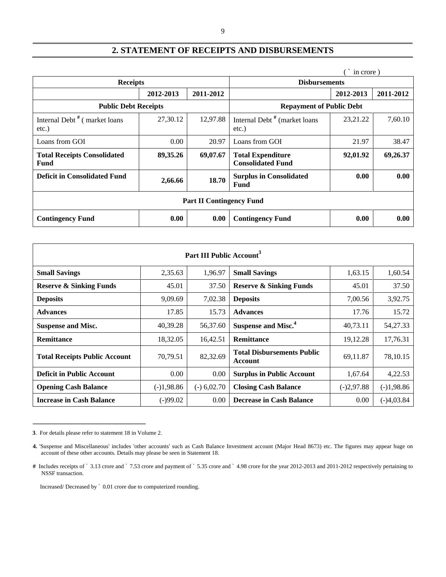#### 9

# **2. STATEMENT OF RECEIPTS AND DISBURSEMENTS**

|                                                   |           |           |                                                                 | in crore)  |             |
|---------------------------------------------------|-----------|-----------|-----------------------------------------------------------------|------------|-------------|
| <b>Receipts</b>                                   |           |           | <b>Disbursements</b>                                            |            |             |
|                                                   | 2012-2013 | 2011-2012 |                                                                 | 2012-2013  | 2011-2012   |
| <b>Public Debt Receipts</b>                       |           |           | <b>Repayment of Public Debt</b>                                 |            |             |
| Internal Debt <sup>#</sup> (market loans<br>etc.) | 27,30.12  |           | 12,97.88   Internal Debt <sup>#</sup> (market loans<br>$etc.$ ) | 23, 21. 22 | 7,60.10     |
| Loans from GOI                                    | $0.00\,$  |           | $20.97$ Loans from GOI                                          | 21.97      | 38.47       |
| <b>Total Receipts Consolidated</b><br>Fund        | 89,35.26  |           | $69,07.67$ Total Expenditure<br><b>Consolidated Fund</b>        | 92,01.92   | 69,26.37    |
| <b>Deficit in Consolidated Fund</b>               | 2,66.66   |           | 18.70   Surplus in Consolidated<br>Fund                         | 0.00       | 0.00        |
|                                                   |           |           | <b>Part II Contingency Fund</b>                                 |            |             |
| <b>Contingency Fund</b>                           | 0.00      |           | 0.00 Contingency Fund                                           | 0.00       | $\bf{0.00}$ |

|                                      |              | Part III Public Account |                                              |              |              |
|--------------------------------------|--------------|-------------------------|----------------------------------------------|--------------|--------------|
| <b>Small Savings</b>                 | 2,35.63      | 1,96.97                 | <b>Small Savings</b>                         | 1,63.15      | 1,60.54      |
| <b>Reserve &amp; Sinking Funds</b>   | 45.01        | 37.50                   | <b>Reserve &amp; Sinking Funds</b>           | 45.01        | 37.50        |
| <b>Deposits</b>                      | 9,09.69      |                         | $7,02.38$ Deposits                           | 7,00.56      | 3,92.75      |
| <b>Advances</b>                      | 17.85        | 15.73                   | <b>Advances</b>                              | 17.76        | 15.72        |
| Suspense and Misc.                   | 40,39.28     |                         | 56,37.60 Suspense and Misc. <sup>4</sup>     | 40,73.11     | 54, 27. 33   |
| Remittance                           | 18,32.05     | 16,42.51                | Remittance                                   | 19,12.28     | 17,76.31     |
| <b>Total Receipts Public Account</b> | 70,79.51     | 82,32.69                | <b>Total Disbursements Public</b><br>Account | 69,11.87     | 78,10.15     |
| <b>Deficit in Public Account</b>     | 0.00         |                         | $0.00$ Surplus in Public Account             | 1,67.64      | 4,22.53      |
| <b>Opening Cash Balance</b>          | $(-)1,98.86$ |                         | $(-) 6,02.70$ Closing Cash Balance           | $(-)2,97.88$ | $(-)1,98.86$ |
| <b>Increase in Cash Balance</b>      | $(-)99.02$   |                         | 0.00 Decrease in Cash Balance                | 0.00         | $(-)4,03.84$ |

**<sup>3</sup>**. For details please refer to statement 18 in Volume 2.

Increased/ Decreased by ` 0.01 crore due to computerized rounding.

**\_\_\_\_\_\_\_\_\_\_\_\_\_\_\_\_\_\_\_\_\_\_\_\_\_\_\_\_\_\_\_**

**<sup>4.</sup>** 'Suspense and Miscellaneous' includes 'other accounts' such as Cash Balance Investment account (Major Head 8673) etc. The figures may appear huge on account of these other accounts. Details may please be seen in Statement 18.

<sup>#</sup> Includes receipts of ` 3.13 crore and ` 7.53 crore and payment of ` 5.35 crore and ` 4.98 crore for the year 2012-2013 and 2011-2012 respectively pertaining to NSSF transaction. NSSF transaction.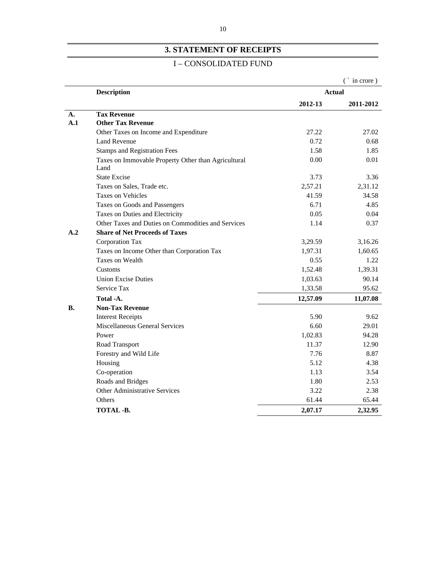# **3. STATEMENT OF RECEIPTS**

#### I – CONSOLIDATED FUND

|           |                                                     |               | ` in crore) |
|-----------|-----------------------------------------------------|---------------|-------------|
|           | <b>Description</b>                                  | <b>Actual</b> |             |
|           |                                                     | 2012-13       | 2011-2012   |
| <b>A.</b> | <b>Tax Revenue</b>                                  |               |             |
| A.1       | <b>Other Tax Revenue</b>                            |               |             |
|           | Other Taxes on Income and Expenditure               | 27.22         | 27.02       |
|           | Land Revenue                                        | 0.72          | 0.68        |
|           | <b>Stamps and Registration Fees</b>                 | 1.58          | 1.85        |
|           | Taxes on Immovable Property Other than Agricultural | 0.00          | 0.01        |
|           | Land                                                |               |             |
|           | State Excise                                        | 3.73          | 3.36        |
|           | Taxes on Sales, Trade etc.                          | 2,57.21       | 2,31.12     |
|           | <b>Taxes on Vehicles</b>                            | 41.59         | 34.58       |
|           | Taxes on Goods and Passengers                       | 6.71          | 4.85        |
|           | Taxes on Duties and Electricity                     | 0.05          | 0.04        |
|           | Other Taxes and Duties on Commodities and Services  | 1.14          | 0.37        |
| A.2       | <b>Share of Net Proceeds of Taxes</b>               |               |             |
|           | Corporation Tax                                     | 3,29.59       | 3,16.26     |
|           | Taxes on Income Other than Corporation Tax          | 1,97.31       | 1,60.65     |
|           | Taxes on Wealth                                     | 0.55          | 1.22        |
|           | Customs                                             | 1,52.48       | 1,39.31     |
|           | <b>Union Excise Duties</b>                          | 1,03.63       | 90.14       |
|           | Service Tax                                         | 1,33.58       | 95.62       |
|           | Total -A.                                           | 12,57.09      | 11,07.08    |
| <b>B.</b> | <b>Non-Tax Revenue</b>                              |               |             |
|           | <b>Interest Receipts</b>                            | 5.90          | 9.62        |
|           | <b>Miscellaneous General Services</b>               | 6.60          | 29.01       |
|           | Power                                               | 1,02.83       | 94.28       |
|           | Road Transport                                      | 11.37         | 12.90       |
|           | Forestry and Wild Life                              | 7.76          | 8.87        |
|           | Housing                                             | 5.12          | 4.38        |
|           | Co-operation                                        | 1.13          | 3.54        |
|           | Roads and Bridges                                   | 1.80          | 2.53        |
|           | Other Administrative Services                       | 3.22          | 2.38        |
|           | Others                                              | 61.44         | 65.44       |
|           | TOTAL -B.                                           | 2,07.17       | 2,32.95     |
|           |                                                     |               |             |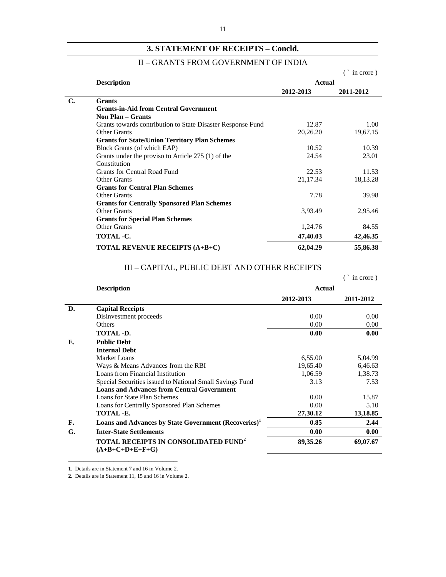### **3. STATEMENT OF RECEIPTS – Concld.**

#### II – GRANTS FROM GOVERNMENT OF INDIA

|                |                                                             |           | $\hat{ }$ in crore) |
|----------------|-------------------------------------------------------------|-----------|---------------------|
|                | <b>Description</b>                                          | Actual    |                     |
|                |                                                             | 2012-2013 | 2011-2012           |
| $\mathbf{C}$ . | <b>Grants</b>                                               |           |                     |
|                | <b>Grants-in-Aid from Central Government</b>                |           |                     |
|                | <b>Non Plan – Grants</b>                                    |           |                     |
|                | Grants towards contribution to State Disaster Response Fund | 12.87     | 1.00                |
|                | <b>Other Grants</b>                                         | 20,26.20  | 19,67.15            |
|                | <b>Grants for State/Union Territory Plan Schemes</b>        |           |                     |
|                | Block Grants (of which EAP)                                 | 10.52     | 10.39               |
|                | Grants under the proviso to Article 275 (1) of the          | 24.54     | 23.01               |
|                | Constitution                                                |           |                     |
|                | <b>Grants for Central Road Fund</b>                         | 22.53     | 11.53               |
|                | Other Grants                                                | 21,17.34  | 18,13.28            |
|                | <b>Grants for Central Plan Schemes</b>                      |           |                     |
|                | Other Grants                                                | 7.78      | 39.98               |
|                | <b>Grants for Centrally Sponsored Plan Schemes</b>          |           |                     |
|                | Other Grants                                                | 3,93.49   | 2,95.46             |
|                | <b>Grants for Special Plan Schemes</b>                      |           |                     |
|                | Other Grants                                                | 1,24.76   | 84.55               |
|                | <b>TOTAL -C.</b>                                            | 47,40.03  | 42,46.35            |
|                | <b>TOTAL REVENUE RECEIPTS (A+B+C)</b>                       | 62,04.29  | 55,86.38            |

# III – CAPITAL, PUBLIC DEBT AND OTHER RECEIPTS

|           |                                                                             |               | in crore) |
|-----------|-----------------------------------------------------------------------------|---------------|-----------|
|           | <b>Description</b>                                                          | <b>Actual</b> |           |
|           |                                                                             | 2012-2013     | 2011-2012 |
| D.        | <b>Capital Receipts</b>                                                     |               |           |
|           | Disinvestment proceeds                                                      | 0.00          | 0.00      |
|           | Others                                                                      | 0.00          | 0.00      |
|           | TOTAL -D.                                                                   | 0.00          | 0.00      |
| E.        | <b>Public Debt</b><br><b>Internal Debt</b>                                  |               |           |
|           | Market Loans                                                                | 6,55.00       | 5,04.99   |
|           | Ways & Means Advances from the RBI                                          | 19,65.40      | 6,46.63   |
|           | Loans from Financial Institution                                            | 1,06.59       | 1,38.73   |
|           | Special Securities issued to National Small Savings Fund                    | 3.13          | 7.53      |
|           | <b>Loans and Advances from Central Government</b>                           |               |           |
|           | Loans for State Plan Schemes                                                | 0.00          | 15.87     |
|           | Loans for Centrally Sponsored Plan Schemes                                  | 0.00          | 5.10      |
|           | TOTAL -E.                                                                   | 27,30.12      | 13,18.85  |
| <b>F.</b> | Loans and Advances by State Government (Recoveries) <sup>1</sup>            | 0.85          | 2.44      |
| G.        | <b>Inter-State Settlements</b>                                              | 0.00          | 0.00      |
|           | <b>TOTAL RECEIPTS IN CONSOLIDATED FUND<sup>2</sup></b><br>$(A+B+C+D+E+F+G)$ | 89,35.26      | 69,07.67  |

 $\overline{\phantom{a}}$  , and the contract of the contract of the contract of the contract of the contract of the contract of the contract of the contract of the contract of the contract of the contract of the contract of the contrac

**1**. Details are in Statement 7 and 16 in Volume 2.

**2.** Details are in Statement 11, 15 and 16 in Volume 2.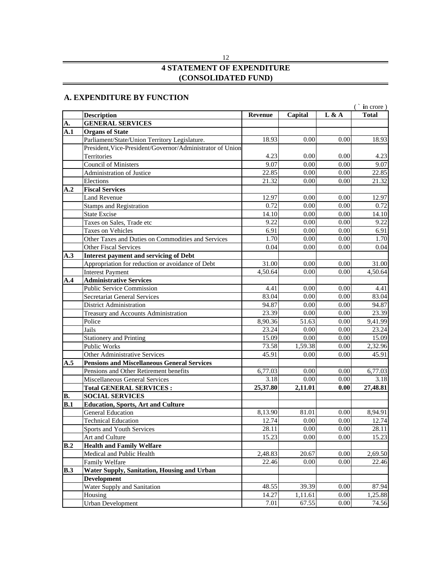# **4 STATEMENT OF EXPENDITURE (CONSOLIDATED FUND)**

#### **A. EXPENDITURE BY FUNCTION**

|                                                           |          |                       |          | $\in$ in crore)  |
|-----------------------------------------------------------|----------|-----------------------|----------|------------------|
| <b>Description</b>                                        |          | Revenue Capital L & A |          | <b>Total</b>     |
| <b>GENERAL SERVICES</b>                                   |          |                       |          |                  |
| A.1 Organs of State                                       |          |                       |          |                  |
| Parliament/State/Union Territory Legislature.             | 18.93    | 0.00                  | 0.00     | 18.93            |
| President, Vice-President/Governor/Administrator of Union |          |                       |          |                  |
| Territories                                               | 4.23     | 0.00                  | 0.00     |                  |
| <b>Council of Ministers</b>                               | 9.07     | $0.00\,$              | 0.00     | 9.07             |
| Administration of Justice                                 | 22.85    | 0.00                  | 0.00     | 22.85            |
| Elections                                                 | 21.32    | 0.00                  | 0.00     | 21.32            |
| A.2 Fiscal Services                                       |          |                       |          |                  |
| <b>Land Revenue</b>                                       | 12.97    | 0.00                  | 0.00     | 12.97            |
| <b>Stamps and Registration</b>                            | 0.72     | 0.00                  | 0.00     | -0.7             |
| <b>State Excise</b>                                       | 14.10    | 0.00                  | 0.00     | 14.10            |
| Taxes on Sales, Trade etc                                 | 9.22     | 0.00                  | 0.00     | 9.22             |
| Taxes on Vehicles                                         | 6.91     | 0.00                  | 0.00     | 6.91             |
| Other Taxes and Duties on Commodities and Services        |          | 0.00                  | $0.00\,$ | - 1.70           |
| <b>Other Fiscal Services</b>                              | 0.04     | 0.00                  | 0.00     | 0.04             |
|                                                           |          |                       |          |                  |
| A.3 Interest payment and servicing of Debt                | 31.00    |                       | 0.00     |                  |
| Appropriation for reduction or avoidance of Debt          |          | 0.00                  |          | 31.00            |
| <b>Interest Payment</b>                                   | 4,50.64  | 0.00                  | 0.00     | 4,50.64          |
| <b>A.4</b> Administrative Services                        |          |                       |          |                  |
| Public Service Commission                                 | 4.41     | 0.00                  | 0.00     | -4.41            |
| Secretariat General Services                              | 83.04    | 0.00                  | 0.00     | 83.04            |
| <b>District Administration</b>                            | 94.87    | 0.00                  | 0.00     | 94.87            |
| Treasury and Accounts Administration                      | 23.39    | 0.00                  | 0.00     | 23.39            |
| Police                                                    | 8,90.36  | 51.63                 | 0.00     | 9,41.99          |
| Jails                                                     | 23.24    | 0.00                  | 0.00     | 23.24            |
| <b>Stationery and Printing</b>                            | 15.09    | 0.00                  | 0.00     | 15.09            |
| <b>Public Works</b>                                       | 73.58    | 1,59.38               | 0.00     | 2,32.96          |
| Other Administrative Services                             | 45.91    | 0.00                  | 0.00     | 45.91            |
| <b>A.5</b> Pensions and Miscellaneous General Services    |          |                       |          |                  |
| Pensions and Other Retirement benefits                    | 6,77.03  | 0.00                  | 0.00     | 6,77.03          |
| Miscellaneous General Services                            | 3.18     | 0.00                  | 0.00     | 3.18             |
| <b>Total GENERAL SERVICES:</b>                            | 25,37.80 | 2,11.01               | 0.00     | 27,48.81         |
| <b>SOCIAL SERVICES</b>                                    |          |                       |          |                  |
| <b>B.1</b> Education, Sports, Art and Culture             |          |                       |          |                  |
| <b>General Education</b>                                  | 8,13.90  | 81.01                 | 0.00     | 8,94.91          |
| <b>Technical Education</b>                                | 12.74    | 0.00                  | 0.00     | 12.74            |
| <b>Sports and Youth Services</b>                          | 28.11    | $0.00\text{ }$        | 0.00     | 28.11            |
| Art and Culture                                           | 15.23    | 0.00                  | 0.00     | 15.23            |
| <b>B.2</b> Health and Family Welfare                      |          |                       |          |                  |
| Medical and Public Health                                 | 2,48.83  | 20.67                 | 0.00     | 2,69.50          |
| Family Welfare                                            | 22.46    | 0.00                  | 0.00     | 22.46            |
| <b>B.3</b> Water Supply, Sanitation, Housing and Urban    |          |                       |          |                  |
|                                                           |          |                       |          |                  |
| <b>Development</b>                                        |          |                       |          |                  |
| Water Supply and Sanitation                               | 48.55    | 39.39                 | 0.00     | 87.94<br>1,25.88 |
| Housing                                                   | 14.27    | 1,11.61               | 0.00     | 74.56            |
| <b>Urban Development</b>                                  | 7.011    | 67.55                 | 0.00     |                  |

12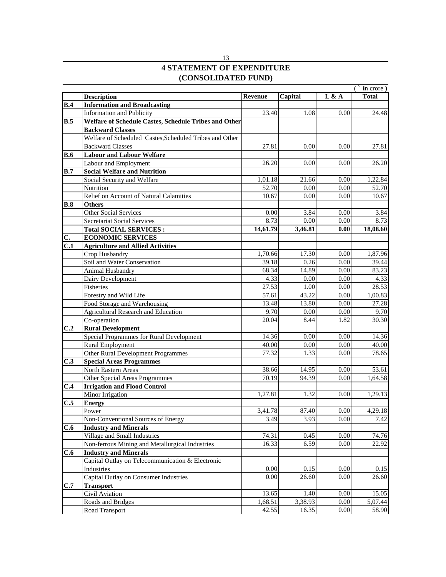|     |                                                                                 |                |              |              | $(i$ in crore)  |
|-----|---------------------------------------------------------------------------------|----------------|--------------|--------------|-----------------|
|     | <b>Description</b>                                                              | <b>Revenue</b> | Capital      | L & A        | <b>Total</b>    |
|     | <b>B.4</b> Information and Broadcasting                                         |                |              |              |                 |
|     | Information and Publicity                                                       | 23.40          | 1.08         | 0.00         | 24.48           |
|     | <b>B.5</b> Welfare of Schedule Castes, Schedule Tribes and Other                |                |              |              |                 |
|     | <b>Backward Classes</b>                                                         |                |              |              |                 |
|     | Welfare of Scheduled Castes, Scheduled Tribes and Other                         |                |              |              |                 |
|     | <b>Backward Classes</b>                                                         | 27.81          | 0.00         | 0.00         | 27.81           |
|     | <b>B.6</b> Labour and Labour Welfare                                            |                |              |              |                 |
|     | Labour and Employment                                                           | 26.20          | 0.00         | 0.00         | 26.20           |
|     | <b>B.7</b> Social Welfare and Nutrition                                         |                |              |              |                 |
|     | Social Security and Welfare                                                     | 1,01.18        | 21.66        | 0.00         | 1,22.84         |
|     | Nutrition                                                                       | 52.70          | 0.00         | 0.00         | 52.70           |
|     | Relief on Account of Natural Calamities                                         | 10.67          | 0.00         | 0.00         | 10.67           |
|     | <b>B.8</b> Others                                                               |                |              |              |                 |
|     | <b>Other Social Services</b>                                                    | 0.00           | 3.84         | 0.00         | 3.84            |
|     | Secretariat Social Services                                                     | 8.73           | 0.00         | 0.00         | 8.73            |
|     | <b>Total SOCIAL SERVICES:</b>                                                   | 14,61.79       | 3,46.81      | 0.00         | 18,08.60        |
|     | <b>ECONOMIC SERVICES</b>                                                        |                |              |              |                 |
|     | <b>C.1</b> Agriculture and Allied Activities                                    |                |              |              |                 |
|     | Crop Husbandry                                                                  | 1,70.66        | 17.30        | 0.00         | 1,87.96         |
|     | Soil and Water Conservation                                                     | 39.18          | 0.26         | 0.00         | 39.44           |
|     | Animal Husbandry                                                                | 68.34          | 14.89        | - 0.00       | 83.23           |
|     | Dairy Development                                                               | 4.33           | 0.00         | 0.00         | 4.33            |
|     | Fisheries                                                                       | 27.53          | 1.00         | 0.00         | 28.53           |
|     | Forestry and Wild Life                                                          | 57.61          | 43.22        | 0.00         | 1.00.83         |
|     | Food Storage and Warehousing                                                    | 13.48          | 13.80        | 0.00         | 27.28           |
|     | Agricultural Research and Education                                             | 9.70           | 0.00         | 0.00         | 9.70            |
|     | Co-operation                                                                    | 20.04          | - 8.44       | -1.82        | 30.30           |
|     | C.2 Rural Development                                                           |                |              |              |                 |
|     | Special Programmes for Rural Development                                        | 14.36          | $0.00\,$     | 0.00         | 14.36           |
|     | <b>Rural Employment</b>                                                         | 40.00          | 0.00         | 0.00         | 40.00<br>78.65  |
|     | Other Rural Development Programmes                                              | 77.32          |              | 0.00         |                 |
|     | <b>C.3</b> Special Areas Programmes                                             |                |              |              |                 |
|     | <b>North Eastern Areas</b>                                                      | 38.66          | 14.95        | 0.00         | 53.61           |
|     | Other Special Areas Programmes                                                  | 70.19          | 94.39        | 0.00         | 1.64.58         |
|     | <b>C.4</b> Irrigation and Flood Control                                         |                |              |              |                 |
|     | Minor Irrigation                                                                | 1,27.81        | 1.32         | 0.00         | 1.29.13         |
|     | $C.5$ Energy                                                                    | 3.41.78        | 87.40        | 0.00         |                 |
|     | Power<br>Non-Conventional Sources of Energy                                     | 3.49           | 3.93         | 0.00         | 4,29.18<br>7.42 |
|     |                                                                                 |                |              |              |                 |
|     | C.6 Industry and Minerals                                                       |                |              |              |                 |
|     | Village and Small Industries<br>Non-ferrous Mining and Metallurgical Industries | 74.31<br>16.33 | 0.45<br>6.59 | 0.00<br>0.00 | 74.76<br>22.92  |
|     |                                                                                 |                |              |              |                 |
|     | C.6 Industry and Minerals<br>Capital Outlay on Telecommunication & Electronic   |                |              |              |                 |
|     | Industries                                                                      | 0.00           | 0.15         | 0.00         | 0.15            |
|     | Capital Outlay on Consumer Industries                                           | 0.00           | 26.60        | 0.00         | 26.60           |
| C.7 | <b>Transport</b>                                                                |                |              |              |                 |
|     | Civil Aviation                                                                  | 13.65          | 1.40         | 0.00         | 15.05           |
|     | Roads and Bridges                                                               | 1,68.51        | 3,38.93      | 0.00         | 5,07.44         |
|     | Road Transport                                                                  | 42.55          | 16.35        | 0.00         | 58.90           |
|     |                                                                                 |                |              |              |                 |

#### **(CONSOLIDATED FUND) 4 STATEMENT OF EXPENDITURE** 13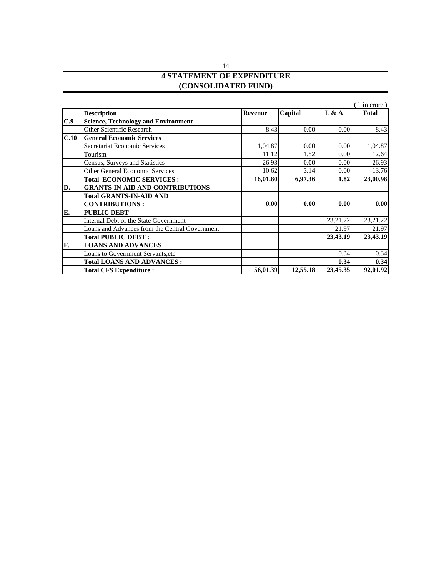#### 14 **4 STATEMENT OF EXPENDITURE (CONSOLIDATED FUND)**

|                                                |                           |          |             | $\hat{ }$ in crore $)$ |
|------------------------------------------------|---------------------------|----------|-------------|------------------------|
| <b>Description</b>                             | Capital<br><b>Revenue</b> |          | L & A       | Total                  |
| Science, Technology and Environment            |                           |          |             |                        |
| Other Scientific Research                      | 8.43                      | 0.00     | 0.00        |                        |
| <b>C.10</b> General Economic Services          |                           |          |             |                        |
| Secretariat Economic Services                  | 1.04.87                   |          |             | 1.04.8                 |
| Tourism                                        |                           |          |             |                        |
| Census, Surveys and Statistics                 | 26.93                     | 0.00     | 0.00        |                        |
| <b>Other General Economic Services</b>         | 10.62.                    |          | <u>ስ ስበ</u> |                        |
| <b>Total ECONOMIC SERVICES:</b>                | 16,01.80                  | 6,97.36  | 1.82        | 23,00.98               |
| <b>GRANTS-IN-AID AND CONTRIBUTIONS</b>         |                           |          |             |                        |
| <b>Total GRANTS-IN-AID AND</b>                 |                           |          |             |                        |
| <b>CONTRIBUTIONS:</b>                          | 0.001                     | 0.00     | 0.00        |                        |
| <b>PUBLIC DEBT</b>                             |                           |          |             |                        |
| Internal Debt of the State Government          |                           |          | 23, 21. 22  | 23,21.2                |
| Loans and Advances from the Central Government |                           |          | 21.07       |                        |
| <b>Total PUBLIC DEBT:</b>                      |                           |          | 23,43.19    | 23,43.19               |
| <b>LOANS AND ADVANCES</b>                      |                           |          |             |                        |
| Loans to Government Servants, etc              |                           |          | 0.24        |                        |
| <b>Total LOANS AND ADVANCES :</b>              |                           |          |             |                        |
| <b>Total CFS Expenditure :</b>                 | 56,01.39                  | 12,55.18 | 23,45.35    | 92,01.92               |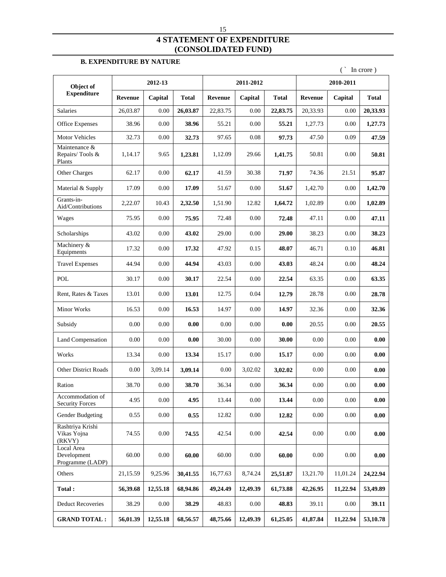#### **4 STATEMENT OF EXPENDITURE (CONSOLIDATED FUND)**

#### **B. EXPENDITURE BY NATURE**

|                                                         |                |          |                    |          |                   |              |          |                   | In crore)           |
|---------------------------------------------------------|----------------|----------|--------------------|----------|-------------------|--------------|----------|-------------------|---------------------|
| Object of                                               |                | 2012-13  |                    |          | 2011-2012         |              |          | 2010-2011         |                     |
| Expenditure                                             | <b>Revenue</b> | Capital  | <b>Total</b>       | Revenue  | Capital           | <b>Total</b> | Revenue  | Capital           | <b>Total</b>        |
| Salaries                                                | 26,03.87       | $0.00\,$ | 26,03.87           | 22,83.75 | $0.00\,$          | 22,83.75     | 20,33.93 | $0.00\,$          | 20,33.93            |
| Office Expenses                                         | 38.96          | $0.00\,$ | 38.96              | 55.21    | $0.00\,$          | 55.21        | 1,27.73  | $0.00\,$          | 1,27.73             |
| Motor Vehicles                                          | 32.73          | 0.00     | 32.73              | 97.65    | 0.08              | 97.73        | 47.50    | 0.09              | 47.59               |
| Maintenance &<br>Repairs/Tools &<br>Plants              | 1,14.17        | 9.65     | 1,23.81            | 1,12.09  | 29.66             | 1,41.75      | 50.81    | $0.00\,$          | 50.81               |
| Other Charges                                           | 62.17          | $0.00\,$ | 62.17              | 41.59    | 30.38             | 71.97        | 74.36    | 21.51             | 95.87               |
| Material & Supply                                       | 17.09          | $0.00\,$ | 17.09              | 51.67    | $0.00\,$          | 51.67        | 1,42.70  | $0.00\,$          | 1,42.70             |
| Grants-in-<br>Aid/Contributions                         | 2,22.07        | 10.43    | 2,32.50            | 1,51.90  | 12.82             | 1,64.72      | 1,02.89  | $0.00\,$          | 1,02.89             |
| Wages                                                   | 75.95          | 0.00     | 75.95              | 72.48    | $0.00\,$          | 72.48        | 47.11    | $0.00\,$          | 47.11               |
| Scholarships                                            | 43.02          | $0.00\,$ | 43.02              | 29.00    | $0.00\,$          | 29.00        | 38.23    | $0.00\,$          | 38.23               |
| Machinery &                                             | 17.32          | $0.00\,$ | 17.32              | 47.92    | 0.15              | 48.07        | 46.71    | 0.10              | 46.81               |
| Equipments<br><b>Travel Expenses</b>                    | 44.94          | $0.00\,$ | 44.94              | 43.03    | $0.00\,$          | 43.03        | 48.24    | $0.00\,$          | 48.24               |
| $\operatorname{POL}$                                    | 30.17          | $0.00\,$ | 30.17              | 22.54    | $0.00\,$          | 22.54        | 63.35    | $0.00\,$          | 63.35               |
|                                                         |                |          |                    |          |                   |              |          | $0.00\,$          |                     |
| Rent, Rates & Taxes                                     | 13.01          | 0.00     | 13.01              | 12.75    | 0.04              | 12.79        | 28.78    |                   | 28.78               |
| <b>Minor Works</b>                                      | 16.53          | $0.00\,$ | 16.53              | 14.97    | $0.00\,$          | 14.97        | 32.36    | $0.00\,$          | 32.36               |
| Subsidy                                                 | $0.00\,$       | $0.00\,$ | 0.00               | $0.00\,$ | $0.00\,$          | 0.00         | 20.55    | $0.00\,$          | 20.55               |
| Land Compensation                                       | 0.00           | $0.00\,$ | 0.00               | 30.00    | $0.00\,$          | 30.00        | $0.00\,$ | $0.00\,$          | 0.00                |
| Works                                                   | 13.34          | $0.00\,$ | 13.34              | 15.17    | $0.00\,$          | 15.17        | $0.00\,$ | $0.00\,$          | 0.00                |
| Other District Roads                                    | 0.00           | 3,09.14  | 3,09.14            | $0.00\,$ | 3,02.02           | 3,02.02      | $0.00\,$ | $0.00\,$          | 0.00                |
| Ration                                                  | 38.70          | $0.00\,$ | 38.70              | 36.34    | $0.00\,$          | 36.34        | $0.00\,$ | $0.00\,$          | 0.00                |
| Accommodation of<br><b>Security Forces</b>              | 4.95           | $0.00\,$ | 4.95               | 13.44    | $0.00\,$          | 13.44        | $0.00\,$ | $0.00\,$          | 0.00                |
| Gender Budgeting                                        | 0.55           | $0.00\,$ | 0.55               | 12.82    | $0.00\,$          | 12.82        | $0.00\,$ | $0.00\,$          | 0.00                |
| Rashtriya Krishi<br>Vikas Yojna                         | 74.55          | $0.00\,$ | 74.55              | 42.54    | 0.00              | 42.54        | $0.00\,$ | $0.00\,$          | 0.00                |
| (RKVY)<br>Local Area<br>Development<br>Programme (LADP) | 60.00          | 0.00     | 60.00              | 60.00    | $0.00\,$          | 60.00        | $0.00\,$ | $0.00\,$          | 0.00                |
| Others                                                  | 21,15.59       |          | $9,25.96$ 30,41.55 | 16,77.63 | 8,74.24           | 25,51.87     | 13,21.70 | 11,01.24          | 24,22.94            |
| Total:                                                  | 56,39.68       |          | 12,55.18 68,94.86  |          | 49,24.49 12,49.39 | 61,73.88     | 42,26.95 | 11,22.94 53,49.89 |                     |
| <b>Deduct Recoveries</b>                                | 38.29          | 0.00     | 38.29              | 48.83    | 0.00              | 48.83        | 39.11    | $0.00\,$          | 39.11               |
| <b>GRAND TOTAL:</b>                                     | 56,01.39       | 12,55.18 | 68,56.57           | 48,75.66 | 12,49.39          | 61,25.05     | 41,87.84 |                   | $11,22.94$ 53,10.78 |
|                                                         |                |          |                    |          |                   |              |          |                   |                     |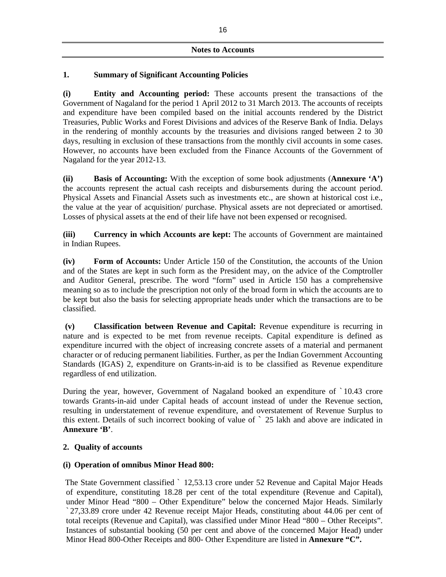#### **Notes to Accounts**

#### **1. Summary of Significant Accounting Policies**

**(i) Entity and Accounting period:** These accounts present the transactions of the Government of Nagaland for the period 1 April 2012 to 31 March 2013. The accounts of receipts and expenditure have been compiled based on the initial accounts rendered by the District Treasuries, Public Works and Forest Divisions and advices of the Reserve Bank of India. Delays in the rendering of monthly accounts by the treasuries and divisions ranged between 2 to 30 days, resulting in exclusion of these transactions from the monthly civil accounts in some cases. However, no accounts have been excluded from the Finance Accounts of the Government of Nagaland for the year 2012-13.

**(ii) Basis of Accounting:** With the exception of some book adjustments (**Annexure 'A')** the accounts represent the actual cash receipts and disbursements during the account period. Physical Assets and Financial Assets such as investments etc., are shown at historical cost i.e., the value at the year of acquisition/ purchase. Physical assets are not depreciated or amortised. Losses of physical assets at the end of their life have not been expensed or recognised.

**(iii) Currency in which Accounts are kept:** The accounts of Government are maintained in Indian Rupees.

**(iv) Form of Accounts:** Under Article 150 of the Constitution, the accounts of the Union and of the States are kept in such form as the President may, on the advice of the Comptroller and Auditor General, prescribe. The word "form" used in Article 150 has a comprehensive meaning so as to include the prescription not only of the broad form in which the accounts are to be kept but also the basis for selecting appropriate heads under which the transactions are to be classified.

**(v) Classification between Revenue and Capital:** Revenue expenditure is recurring in nature and is expected to be met from revenue receipts. Capital expenditure is defined as expenditure incurred with the object of increasing concrete assets of a material and permanent character or of reducing permanent liabilities. Further, as per the Indian Government Accounting Standards (IGAS) 2, expenditure on Grants-in-aid is to be classified as Revenue expenditure regardless of end utilization.

During the year, however, Government of Nagaland booked an expenditure of ` 10.43 crore towards Grants-in-aid under Capital heads of account instead of under the Revenue section, resulting in understatement of revenue expenditure, and overstatement of Revenue Surplus to this extent. Details of such incorrect booking of value of ` 25 lakh and above are indicated in **Annexure 'B'**.

#### **2. Quality of accounts**

#### **(i) Operation of omnibus Minor Head 800:**

 The State Government classified ` 12,53.13 crore under 52 Revenue and Capital Major Heads of expenditure, constituting 18.28 per cent of the total expenditure (Revenue and Capital), under Minor Head "800 – Other Expenditure" below the concerned Major Heads. Similarly ` 27,33.89 crore under 42 Revenue receipt Major Heads, constituting about 44.06 per cent of total receipts (Revenue and Capital), was classified under Minor Head "800 – Other Receipts". Instances of substantial booking (50 per cent and above of the concerned Major Head) under Minor Head 800-Other Receipts and 800- Other Expenditure are listed in **Annexure "C".**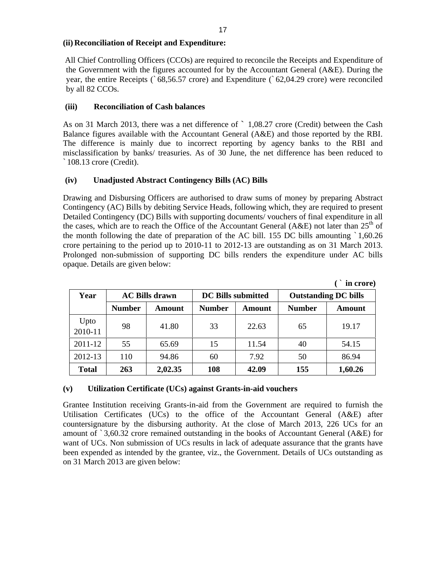#### **(ii) Reconciliation of Receipt and Expenditure:**

All Chief Controlling Officers (CCOs) are required to reconcile the Receipts and Expenditure of the Government with the figures accounted for by the Accountant General (A&E). During the year, the entire Receipts (` 68,56.57 crore) and Expenditure (` 62,04.29 crore) were reconciled by all 82 CCOs.

#### **(iii) Reconciliation of Cash balances**

As on 31 March 2013, there was a net difference of  $\degree$  1,08.27 crore (Credit) between the Cash Balance figures available with the Accountant General (A&E) and those reported by the RBI. The difference is mainly due to incorrect reporting by agency banks to the RBI and misclassification by banks/ treasuries. As of 30 June, the net difference has been reduced to ` 108.13 crore (Credit).

#### **(iv) Unadjusted Abstract Contingency Bills (AC) Bills**

Drawing and Disbursing Officers are authorised to draw sums of money by preparing Abstract Contingency (AC) Bills by debiting Service Heads, following which, they are required to present Detailed Contingency (DC) Bills with supporting documents/ vouchers of final expenditure in all the cases, which are to reach the Office of the Accountant General (A&E) not later than  $25<sup>th</sup>$  of  $\int$  of  $\int$ of the month following the date of preparation of the AC bill. 155 DC bills amounting ` 1,60.26 crore pertaining to the period up to 2010-11 to 2012-13 are outstanding as on 31 March 2013. Prolonged non-submission of supporting DC bills renders the expenditure under AC bills opaque. Details are given below:

|                 |               |                       |               |                    |               | in crore)                   |
|-----------------|---------------|-----------------------|---------------|--------------------|---------------|-----------------------------|
| $- -$<br>Year   |               | <b>AC Bills drawn</b> |               | DC Bills submitted |               | <b>Outstanding DC bills</b> |
|                 | <b>Number</b> | Amount                | <b>Number</b> | Amount             | <b>Number</b> | Amount                      |
| Upto<br>2010-11 | 98            | 41.80                 | 33            | 22.63              | 65            | 19.17                       |
| $2011 - 12$     | 55            | 65.69                 | 15            | 11.54              | 40            | 54.15                       |
| 2012-13         | 110           | 94.86                 | 60            | 7.92               | 50<br>JV.     | 86.94                       |
| <b>Total</b>    | 263           | 2,02.35               | 108           | 42.09              | 155           | 1,60.26                     |

**(v) Utilization Certificate (UCs) against Grants-in-aid vouchers**

Grantee Institution receiving Grants-in-aid from the Government are required to furnish the Utilisation Certificates (UCs) to the office of the Accountant General (A&E) after countersignature by the disbursing authority. At the close of March 2013, 226 UCs for an amount of ` 3,60.32 crore remained outstanding in the books of Accountant General (A&E) for want of UCs. Non submission of UCs results in lack of adequate assurance that the grants have been expended as intended by the grantee, viz., the Government. Details of UCs outstanding as on 31 March 2013 are given below: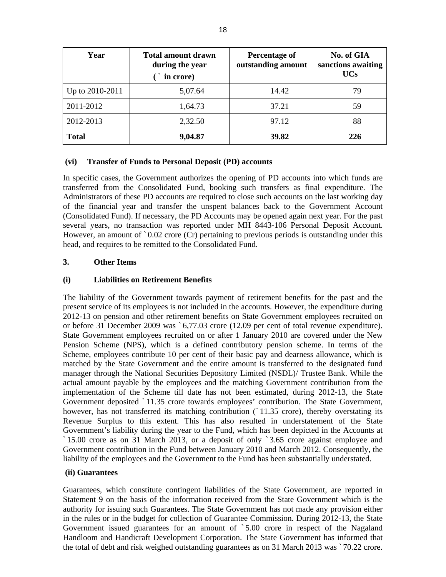| Year                | <b>Total amount drawn</b><br>during the year<br>in crore) | <b>Percentage of</b><br>outstanding amount | No. of GIA<br>sanctions awaiting<br><b>UCs</b> |
|---------------------|-----------------------------------------------------------|--------------------------------------------|------------------------------------------------|
| $ $ Up to 2010-2011 | 5,07.64                                                   | 14.42                                      | 79                                             |
| $ 2011-2012 $       | 1,64.73                                                   | 37.21                                      | 59                                             |
| 2012-2013           | 2,32.50                                                   | 97.12                                      | 88                                             |
| Total               | 9,04.87                                                   | 39.82                                      | 226                                            |

#### **(vi) Transfer of Funds to Personal Deposit (PD) accounts**

In specific cases, the Government authorizes the opening of PD accounts into which funds are transferred from the Consolidated Fund, booking such transfers as final expenditure. The Administrators of these PD accounts are required to close such accounts on the last working day of the financial year and transfer the unspent balances back to the Government Account (Consolidated Fund). If necessary, the PD Accounts may be opened again next year. For the past several years, no transaction was reported under MH 8443-106 Personal Deposit Account. However, an amount of `0.02 crore (Cr) pertaining to previous periods is outstanding under this head, and requires to be remitted to the Consolidated Fund.

#### **3. Other Items**

#### **(i) Liabilities on Retirement Benefits**

The liability of the Government towards payment of retirement benefits for the past and the present service of its employees is not included in the accounts. However, the expenditure during 2012-13 on pension and other retirement benefits on State Government employees recruited on or before 31 December 2009 was ` 6,77.03 crore (12.09 per cent of total revenue expenditure). State Government employees recruited on or after 1 January 2010 are covered under the New Pension Scheme (NPS), which is a defined contributory pension scheme. In terms of the Scheme, employees contribute 10 per cent of their basic pay and dearness allowance, which is matched by the State Government and the entire amount is transferred to the designated fund manager through the National Securities Depository Limited (NSDL)/ Trustee Bank. While the actual amount payable by the employees and the matching Government contribution from the implementation of the Scheme till date has not been estimated, during 2012-13, the State Government deposited ` 11.35 crore towards employees' contribution. The State Government, however, has not transferred its matching contribution (`11.35 crore), thereby overstating its Revenue Surplus to this extent. This has also resulted in understatement of the State Government's liability during the year to the Fund, which has been depicted in the Accounts at ` 15.00 crore as on 31 March 2013, or a deposit of only ` 3.65 crore against employeeand Government contribution in the Fund between January 2010 and March 2012. Consequently, the liability of the employees and the Government to the Fund has been substantially understated.

#### **(ii) Guarantees**

Guarantees, which constitute contingent liabilities of the State Government, are reported in Statement 9 on the basis of the information received from the State Government which is the authority for issuing such Guarantees. The State Government has not made any provision either in the rules or in the budget for collection of Guarantee Commission. During 2012-13, the State Government issued guarantees for an amount of ` 5.00 crore in respect of the Nagaland Handloom and Handicraft Development Corporation. The State Government has informed that the total of debt and risk weighed outstanding guarantees as on 31 March 2013 was ` 70.22 crore.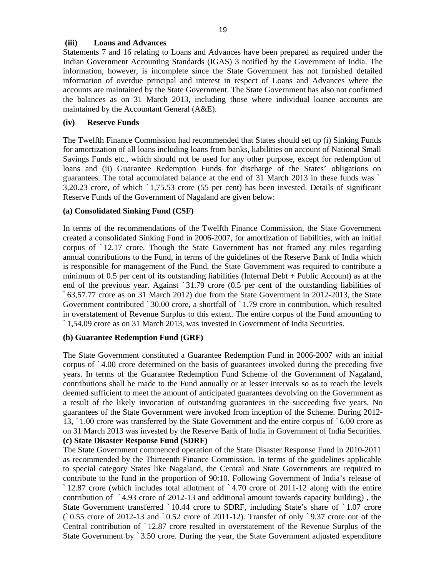#### **(iii) Loans and Advances**

Statements 7 and 16 relating to Loans and Advances have been prepared as required under the Indian Government Accounting Standards (IGAS) 3 notified by the Government of India. The information, however, is incomplete since the State Government has not furnished detailed information of overdue principal and interest in respect of Loans and Advances where the accounts are maintained by the State Government. The State Government has also not confirmed the balances as on 31 March 2013, including those where individual loanee accounts are maintained by the Accountant General (A&E).

#### **(iv) Reserve Funds**

The Twelfth Finance Commission had recommended that States should set up (i) Sinking Funds for amortization of all loans including loans from banks, liabilities on account of National Small Savings Funds etc., which should not be used for any other purpose, except for redemption of loans and (ii) Guarantee Redemption Funds for discharge of the States' obligations on guarantees. The total accumulated balance at the end of 31 March 2013 in these funds was ` 3,20.23 crore, of which ` 1,75.53 crore (55 per cent) has been invested. Details of significant Reserve Funds of the Government of Nagaland are given below:

#### **(a) Consolidated Sinking Fund (CSF)**

In terms of the recommendations of the Twelfth Finance Commission, the State Government created a consolidated Sinking Fund in 2006-2007, for amortization of liabilities, with an initial corpus of ` 12.17 crore. Though the State Government has not framed any rules regarding annual contributions to the Fund, in terms of the guidelines of the Reserve Bank of India which is responsible for management of the Fund, the State Government was required to contribute a minimum of 0.5 per cent of its outstanding liabilities (Internal Debt + Public Account) as at the end of the previous year. Against ` 31.79 crore (0.5 per cent of the outstanding liabilities of ` 63,57.77 crore as on 31 March 2012) due from the State Government in 2012-2013, the State Government contributed ` 30.00 crore, a shortfall of ` 1.79 crore in contribution, which resulted in overstatement of Revenue Surplus to this extent. The entire corpus of the Fund amounting to ` 1,54.09 crore as on 31 March 2013, was invested in Government of India Securities.

#### **(b) Guarantee Redemption Fund (GRF)**

The State Government constituted a Guarantee Redemption Fund in 2006-2007 with an initial corpus of ` 4.00 crore determined on the basis of guarantees invoked during the preceding five years. In terms of the Guarantee Redemption Fund Scheme of the Government of Nagaland, contributions shall be made to the Fund annually or at lesser intervals so as to reach the levels deemed sufficient to meet the amount of anticipated guarantees devolving on the Government as a result of the likely invocation of outstanding guarantees in the succeeding five years. No guarantees of the State Government were invoked from inception of the Scheme. During 2012- 13, ` 1.00 crore was transferred by the State Government and the entire corpus of ` 6.00 crore as on 31 March 2013 was invested by the Reserve Bank of India in Government of India Securities. **(c) State Disaster Response Fund (SDRF)**

The State Government commenced operation of the State Disaster Response Fund in 2010-2011 as recommended by the Thirteenth Finance Commission. In terms of the guidelines applicable to special category States like Nagaland, the Central and State Governments are required to contribute to the fund in the proportion of 90:10. Following Government of India's release of ` 12.87 crore (which includes total allotment of ` 4.70 crore of 2011-12 along with the entire contribution of  $\degree$  4.93 crore of 2012-13 and additional amount towards capacity building), the State Government transferred ` 10.44 crore to SDRF, including State's share of ` 1.07 crore (` 0.55 crore of 2012-13 and ` 0.52 crore of 2011-12). Transfer of only ` 9.37 crore out of the Central contribution of ` 12.87 crore resulted in overstatement of the Revenue Surplus of the State Government by ` 3.50 crore. During the year, the State Government adjusted expenditure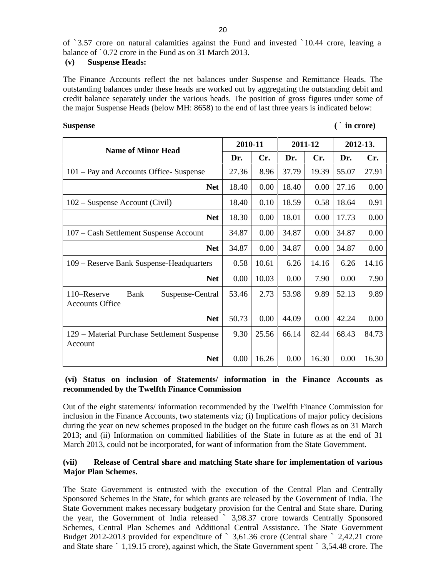of ` 3.57 crore on natural calamities against the Fund and invested ` 10.44 crore, leaving a balance of ` 0.72 crore in the Fund as on 31 March 2013.

#### **(v) Suspense Heads:**

The Finance Accounts reflect the net balances under Suspense and Remittance Heads. The outstanding balances under these heads are worked out by aggregating the outstanding debit and credit balance separately under the various heads. The position of gross figures under some of the major Suspense Heads (below MH: 8658) to the end of last three years is indicated below:

| Suspense | in crore) |  |
|----------|-----------|--|

| <b>Name of Minor Head</b>                                         |          | 2010-11  |                                              | 2011-12 |                        | 2012-13.     |
|-------------------------------------------------------------------|----------|----------|----------------------------------------------|---------|------------------------|--------------|
|                                                                   | Dr.      | Cr.      | Dr.                                          | Cr.     | Dr.                    | Cr.          |
| 101 – Pay and Accounts Office-Suspense                            | 27.36    | 8.96     | 37.79                                        |         | $19.39$ 55.07          | 27.91        |
| <b>Net</b>                                                        | 18.40    | $0.00\,$ | 18.40                                        |         | $0.00$   27.16         | $0.00\,$     |
| 102 – Suspense Account (Civil)                                    | 18.40    | 0.10     | 18.59                                        | 0.58    | 18.64                  | 0.91         |
| <b>Net</b>                                                        | 18.30    | 0.00     | 18.01                                        |         | $0.00$   17.73         | 0.00         |
| 107 - Cash Settlement Suspense Account                            | 34.87    | 0.00     | 34.87                                        |         | $0.00 \mid 34.87$      | $0.00\,$     |
| <b>Net</b>                                                        | 34.87    | 0.00     | 34.87                                        |         | $0.00 \mid 34.87$      | $0.00\,$     |
| 109 - Reserve Bank Suspense-Headquarters                          | 0.58     | 10.61    | 6.26                                         | 14.16   |                        | $6.26$ 14.16 |
| <b>Net</b>                                                        | $0.00\,$ | 10.03    | $0.00\,$                                     | 7.90    | 0.00                   | 7.90         |
| Suspense-Central<br>110–Reserve<br>Bank<br><b>Accounts Office</b> | 53.46    | 2.73     | 53.98                                        |         | $9.89$ 52.13           | 9.89         |
| <b>Net</b>                                                        | 50.73    | $0.00\,$ | 44.09                                        |         | $0.00 \mid 42.24 \mid$ | $0.00\,$     |
| 129 - Material Purchase Settlement Suspense<br>Account            |          |          | $9.30 \mid 25.56 \mid 66.14 \mid 82.44 \mid$ |         |                        | 68.43 84.73  |
| <b>Net</b>                                                        | $0.00\,$ | 16.26    | $0.00\,$                                     | 16.30   | 0.00                   | 16.30        |

#### **(vi) Status on inclusion of Statements/ information in the Finance Accounts as recommended by the Twelfth Finance Commission**

Out of the eight statements/ information recommended by the Twelfth Finance Commission for inclusion in the Finance Accounts, two statements viz; (i) Implications of major policy decisions during the year on new schemes proposed in the budget on the future cash flows as on 31 March 2013; and (ii) Information on committed liabilities of the State in future as at the end of 31 March 2013, could not be incorporated, for want of information from the State Government.

#### **(vii) Release of Central share and matching State share for implementation of various Major Plan Schemes.**

The State Government is entrusted with the execution of the Central Plan and Centrally Sponsored Schemes in the State, for which grants are released by the Government of India. The State Government makes necessary budgetary provision for the Central and State share. During the year, the Government of India released ` 3,98.37 crore towards Centrally Sponsored Schemes, Central Plan Schemes and Additional Central Assistance. The State Government Budget 2012-2013 provided for expenditure of ` 3,61.36 crore (Central share ` 2,42.21 crore and State share ` 1,19.15 crore), against which, the State Government spent ` 3,54.48 crore. The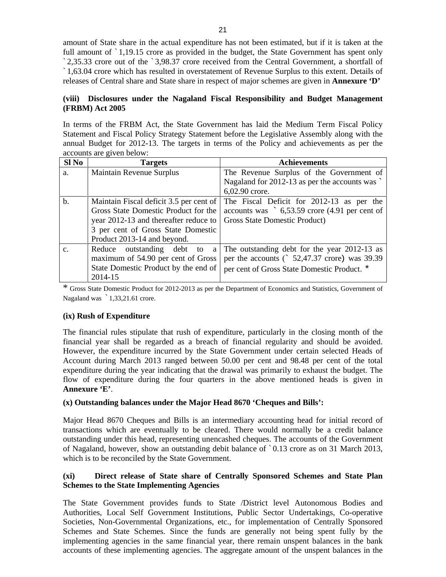amount of State share in the actual expenditure has not been estimated, but if it is taken at the full amount of  $\dot{\;}$  1,19.15 crore as provided in the budget, the State Government has spent only ` 2,35.33 crore out of the ` 3,98.37 crore received from theCentral Government, a shortfall of ` 1,63.04 crore which has resulted in overstatement of Revenue Surplus to this extent. Details of releases of Central share and State share in respect of major schemes are given in **Annexure 'D'**

#### **(viii) Disclosures under the Nagaland Fiscal Responsibility and BudgetManagement (FRBM) Act 2005**

In terms of the FRBM Act, the State Government has laid the Medium Term Fiscal Policy Statement and Fiscal Policy Strategy Statement before the Legislative Assembly along with the annual Budget for 2012-13. The targets in terms of the Policy and achievements as per the accounts are given below:

| $SI$ No | <b>Targets</b>                                                      | <b>Achievements</b>                                                                                             |
|---------|---------------------------------------------------------------------|-----------------------------------------------------------------------------------------------------------------|
|         | Maintain Revenue Surplus                                            | The Revenue Surplus of the Government of                                                                        |
|         |                                                                     | Nagaland for 2012-13 as per the accounts was                                                                    |
|         |                                                                     | $6,02.90$ crore.                                                                                                |
|         |                                                                     | Maintain Fiscal deficit 3.5 per cent of The Fiscal Deficit for 2012-13 as per the                               |
|         |                                                                     | Gross State Domestic Product for the   accounts was ` 6,53.59 crore (4.91 per cent of                           |
|         | year 2012-13 and thereafter reduce to Gross State Domestic Product) |                                                                                                                 |
|         | 3 per cent of Gross State Domestic                                  |                                                                                                                 |
|         | Product 2013-14 and beyond.                                         |                                                                                                                 |
|         |                                                                     | Reduce outstanding debt to a The outstanding debt for the year 2012-13 as                                       |
|         |                                                                     | $\vert$ maximum of 54.90 per cent of Gross $\vert$ per the accounts ( $\vert$ 52,47.37 crore) was 39.39 $\vert$ |
|         |                                                                     | State Domestic Product by the end of per cent of Gross State Domestic Product. *                                |
|         | 2014-15                                                             |                                                                                                                 |

\* Gross State Domestic Product for 2012-2013 as per the Department of Economics and Statistics, Government of Nagaland was 1,33,21.61 crore.

#### **(ix) Rush of Expenditure**

The financial rules stipulate that rush of expenditure, particularly in the closing month of the financial year shall be regarded as a breach of financial regularity and should be avoided. However, the expenditure incurred by the State Government under certain selected Heads of Account during March 2013 ranged between 50.00 per cent and 98.48 per cent of the total expenditure during the year indicating that the drawal was primarily to exhaust the budget. The flow of expenditure during the four quarters in the above mentioned heads is given in **Annexure 'E'**.

#### **(x) Outstanding balances under the Major Head 8670 'Cheques and Bills':**

Major Head 8670 Cheques and Bills is an intermediary accounting head for initial record of transactions which are eventually to be cleared. There would normally be a credit balance outstanding under this head, representing unencashed cheques. The accounts of the Government of Nagaland, however, show an outstanding debit balance of ` 0.13 crore as on 31 March 2013, which is to be reconciled by the State Government.

#### **(xi) Direct release of State share of Centrally Sponsored Schemes and State Plan Schemes to the State Implementing Agencies**

The State Government provides funds to State /District level Autonomous Bodies and Authorities, Local Self Government Institutions, Public Sector Undertakings, Co-operative Societies, Non-Governmental Organizations, etc., for implementation of Centrally Sponsored Schemes and State Schemes. Since the funds are generally not being spent fully by the implementing agencies in the same financial year, there remain unspent balances in the bank accounts of these implementing agencies. The aggregate amount of the unspent balances in the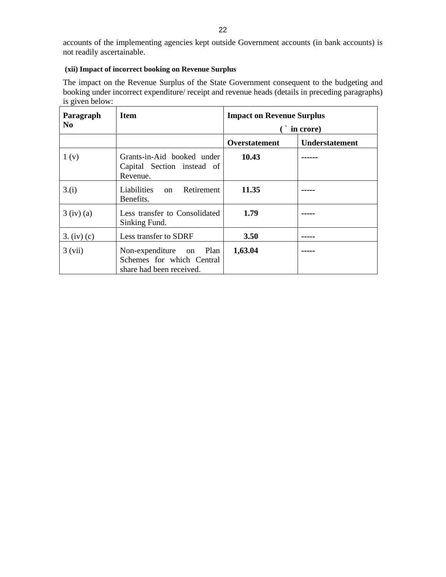### **(xii) Impact of incorrect booking on Revenue Surplus**

The impact on the Revenue Surplus of the State Government consequent to the budgeting and booking under incorrect expenditure/ receipt and revenue heads (details in preceding paragraphs) is given below:

| Paragraph        | <b>Item</b>                                                                        | <b>Impact on Revenue Surplus</b> |                                                                                                                                                                                                                                                                                                                                                                                                                                                                                        |
|------------------|------------------------------------------------------------------------------------|----------------------------------|----------------------------------------------------------------------------------------------------------------------------------------------------------------------------------------------------------------------------------------------------------------------------------------------------------------------------------------------------------------------------------------------------------------------------------------------------------------------------------------|
| <b>No</b>        |                                                                                    |                                  | in crore)                                                                                                                                                                                                                                                                                                                                                                                                                                                                              |
|                  |                                                                                    | Overstatement                    | Understatement                                                                                                                                                                                                                                                                                                                                                                                                                                                                         |
| 1 <sub>(v)</sub> | Grants-in-Aid booked under<br>Capital Section instead of<br>Revenue.               | 10.43                            | $\begin{array}{cccccccccc} \multicolumn{2}{c}{} & \multicolumn{2}{c}{} & \multicolumn{2}{c}{} & \multicolumn{2}{c}{} & \multicolumn{2}{c}{} & \multicolumn{2}{c}{} & \multicolumn{2}{c}{} & \multicolumn{2}{c}{} & \multicolumn{2}{c}{} & \multicolumn{2}{c}{} & \multicolumn{2}{c}{} & \multicolumn{2}{c}{} & \multicolumn{2}{c}{} & \multicolumn{2}{c}{} & \multicolumn{2}{c}{} & \multicolumn{2}{c}{} & \multicolumn{2}{c}{} & \multicolumn{2}{c}{} & \multicolumn{2}{c}{} & \mult$ |
| 3.(i)            | Liabilities on<br>Retirement<br>Benefits.                                          | 11.35                            | ------                                                                                                                                                                                                                                                                                                                                                                                                                                                                                 |
| $3$ (iv) (a)     | Less transfer to Consolidated<br>Sinking Fund.                                     | 1.79                             |                                                                                                                                                                                                                                                                                                                                                                                                                                                                                        |
| 3. (iv) (c)      | Less transfer to SDRF                                                              | 3.50                             | ------                                                                                                                                                                                                                                                                                                                                                                                                                                                                                 |
| 3 (vii)          | Non-expenditure on $Plan$<br>Schemes for which Central<br>share had been received. | 1,63.04                          |                                                                                                                                                                                                                                                                                                                                                                                                                                                                                        |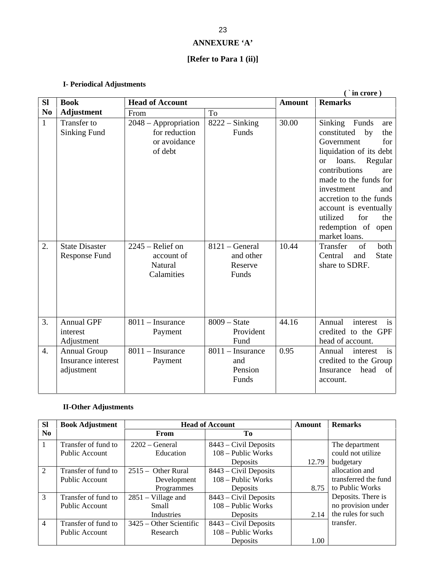# **ANNEXURE 'A'**

# **[Refer to Para 1 (ii)]**

# **I- Periodical Adjustments**

|                       |                                                                  |                           |                | $(i$ in crore)          |
|-----------------------|------------------------------------------------------------------|---------------------------|----------------|-------------------------|
| $SI$ Book             | <b>Head of Account</b>                                           |                           |                | <b>Amount</b> Remarks   |
| No $\vert$ Adjustment | From                                                             | To                        |                |                         |
| Transfer to           | $2048 - Approx$ ppropriation   8222 $\overline{-\text{Sinking}}$ |                           | 30.00          | Sinking Funds are       |
| Sinking Fund          | for reduction                                                    | Funds                     |                | constituted by the      |
|                       | or avoidance                                                     |                           |                | for<br>Government       |
|                       | of debt                                                          |                           |                | liquidation of its debt |
|                       |                                                                  |                           |                | Regular<br>or loans.    |
|                       |                                                                  |                           |                | contributions<br>are    |
|                       |                                                                  |                           |                | made to the funds for   |
|                       |                                                                  |                           |                | and<br>investment       |
|                       |                                                                  |                           |                | accretion to the funds  |
|                       |                                                                  |                           |                | account is eventually   |
|                       |                                                                  |                           |                | for the<br>utilized     |
|                       |                                                                  |                           |                | redemption of open      |
|                       |                                                                  |                           |                | market loans.           |
| State Disaster        | $2245$ – Relief on                                               | $8121 - General$          | $\vert$ 10.44  | Transfer of both        |
| Response Fund         | account of                                                       | and other                 |                | Central and State       |
|                       | Natural                                                          | Reserve                   |                | share to SDRF.          |
|                       | Calamities                                                       | Funds                     |                |                         |
|                       |                                                                  |                           |                |                         |
|                       |                                                                  |                           |                |                         |
|                       |                                                                  |                           |                |                         |
|                       |                                                                  |                           |                |                         |
| Annual GPF            | $\vert$ 8011 – Insurance                                         | $8009 - State$            | 44.16          | Annual<br>interest is   |
| interest              | Payment                                                          | Provident                 |                | credited to the GPF     |
| Adjustment            |                                                                  | Fund                      |                | head of account.        |
| Annual Group          | $\vert$ 8011 – Insurance                                         | $\sqrt{8011}$ – Insurance | $\boxed{0.95}$ | Annual<br>interest is   |
| Insurance interest    | Payment                                                          | and                       |                | credited to the Group   |
|                       |                                                                  | Pension                   |                | Insurance head of       |
| adjustment            |                                                                  | Funds                     |                |                         |
|                       |                                                                  |                           |                | account.                |
|                       |                                                                  |                           |                |                         |

### **II-Other Adjustments**

| SI Book Adjustment  |                                                           | <b>Head of Account</b>        | Remarks<br>Amount         |
|---------------------|-----------------------------------------------------------|-------------------------------|---------------------------|
| NO.                 | From                                                      | To T                          |                           |
| Transfer of fund to | $\sqrt{2202 - \text{General}}$                            | $8443$ – Civil Deposits       | The department            |
| Public Account      | Education                                                 | 108 – Public Works            | could not utilize         |
|                     |                                                           | Deposits                      | $12.79$ budgetary         |
|                     | Transfer of fund to $\int 2515 -$ Other Rural             | 8443 – Civil Deposits         | allocation and            |
| Public Account      | Development                                               | 108 – Public Works            | transferred the fund      |
|                     | Programmes                                                | Deposits                      | 8.75 to Public Works      |
|                     | Transfer of fund to $\int 2851 -$ Village and             | 8443 – Civil Deposits         | Deposits. There is        |
| Public Account      | Small                                                     | 108 – Public Works            | no provision under        |
|                     | Industrie                                                 | Deposits                      | $2.14$ the rules for such |
|                     | Transfer of fund to $\frac{1}{2}$ 3425 – Other Scientific | $\vert$ 8443 – Civil Deposits | transfer.                 |
| Public Account      | Research                                                  | 108 – Public Works            |                           |
|                     |                                                           | Deposits                      |                           |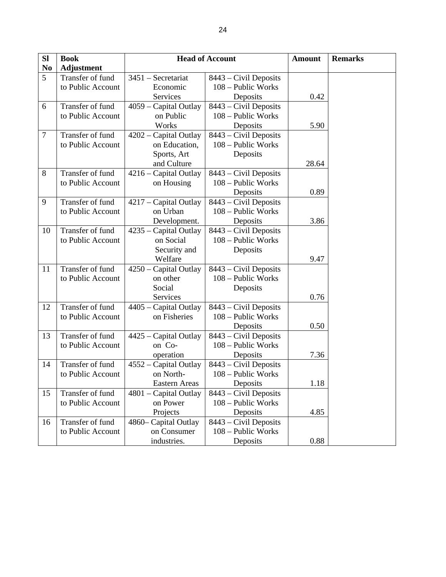| SI                     | <b>Book</b>         |                                | <b>Head of Account</b>                                      | <b>Amount</b> |
|------------------------|---------------------|--------------------------------|-------------------------------------------------------------|---------------|
| $\mathbf{N}\mathbf{o}$ | <b>Adjustment</b>   |                                |                                                             |               |
| 5 <sup>5</sup>         | Transfer of fund    | $3451 -$ Secretariat           | 8443 – Civil Deposits                                       |               |
|                        | to Public Account   | Economic                       | 108 – Public Works                                          |               |
|                        |                     | Services                       | Deposits                                                    | 0.42          |
| 6                      | Transfer of fund    | $4059$ – Capital Outlay        | 8443 – Civil Deposits                                       |               |
|                        | to Public Account   | on Public                      | 108 – Public Works                                          |               |
|                        |                     | Works                          | Deposits                                                    | 5.90          |
| $\tau$                 | Transfer of fund    | $4202$ – Capital Outlay        | 8443 – Civil Deposits                                       |               |
|                        | to Public Account   | on Education,                  | 108 – Public Works                                          |               |
|                        |                     | Sports, Art                    | Deposits                                                    |               |
|                        |                     | and Culture                    |                                                             | 28.64         |
| 8                      | Transfer of fund    | $\sqrt{4216}$ – Capital Outlay | 8443 – Civil Deposits                                       |               |
|                        | to Public Account   | on Housing                     | 108 – Public Works                                          |               |
|                        |                     |                                | Deposits                                                    | 0.89          |
| 9                      | Transfer of fund    |                                | $4217$ – Capital Outlay   8443 – Civil Deposits             |               |
|                        | to Public Account   | on Urban                       | 108 – Public Works                                          |               |
|                        |                     | Development.                   | Deposits                                                    | 3.86          |
| 10                     | Transfer of fund    |                                | $\sqrt{4235 -$ Capital Outlay $\sqrt{8443 -$ Civil Deposits |               |
|                        | to Public Account   | on Social                      | 108 – Public Works                                          |               |
|                        |                     |                                |                                                             |               |
|                        |                     | Security and<br>Welfare        | Deposits                                                    | 9.47          |
|                        |                     |                                |                                                             |               |
| <b>11</b>              | Transfer of fund    | $4250$ – Capital Outlay        | 8443 – Civil Deposits                                       |               |
|                        | to Public Account   | on other                       | 108 – Public Works                                          |               |
|                        |                     | Social                         | Deposits                                                    |               |
|                        |                     | Services                       |                                                             | 0.76          |
| 12                     | Transfer of fund    | $4405$ – Capital Outlay        | 8443 – Civil Deposits                                       |               |
|                        | to Public Account   | on Fisheries                   | 108 – Public Works                                          |               |
|                        |                     |                                | Deposits                                                    | 0.50          |
|                        | 13 Transfer of fund |                                | $ 4425 -$ Capital Outlay $ 8443 -$ Civil Deposits           |               |
|                        | to Public Account   | on Co-                         | 108 – Public Works                                          |               |
|                        |                     | operation                      | Deposits                                                    | 7.36          |
|                        | 14 Transfer of fund | $4552 - Capital Outlay$        | $8443$ – Civil Deposits                                     |               |
|                        | to Public Account   | on North-                      | 108 – Public Works                                          |               |
|                        |                     | Eastern Areas                  | Deposits                                                    | 1.18          |
| 15                     | Transfer of fund    | $ 4801 -$ Capital Outlay       | 8443 – Civil Deposits                                       |               |
|                        | to Public Account   | on Power                       | 108 – Public Works                                          |               |
|                        |                     | Projects                       | Deposits                                                    | 4.85          |
| 16                     | Transfer of fund    | 4860 - Capital Outlay          | $\overline{8443 - Civil}$ Deposits                          |               |
|                        | to Public Account   | on Consumer                    | 108 – Public Works                                          |               |
|                        |                     | industries.                    | Deposits                                                    | 0.88          |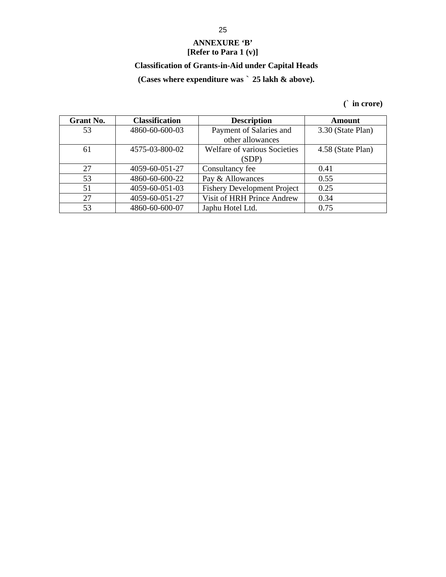### **ANNEXURE 'B' [Refer to Para 1 (v)]**

# **Classification of Grants-in-Aid under Capital Heads**

# **(Cases where expenditure was** ` **25 lakh & above).**

**(**` **in crore)**

| <b>Grant No.</b> | <b>Classification</b> | <b>Description</b>                 | Amount            |
|------------------|-----------------------|------------------------------------|-------------------|
| 52<br>ر ر        | 4860-60-600-03        | Payment of Salaries and            | 3.30 (State Plan) |
|                  |                       | other allowances                   |                   |
| 61               | 4575-03-800-02        | Welfare of various Societies       | 4.58 (State Plan) |
|                  |                       | (SDP)                              |                   |
| 27               | 4059-60-051-27        | Consultancy fee                    | 0.41              |
| 53               | 4860-60-600-22        | Pay & Allowances                   | 0.55              |
|                  | 4059-60-051-03        | <b>Fishery Development Project</b> | 0.25              |
| $\sim$           | 4059-60-051-27        | Visit of HRH Prince Andrew         | 0.34              |
|                  | 4860-60-600-07        | Japhu Hotel Ltd.                   | 0.75              |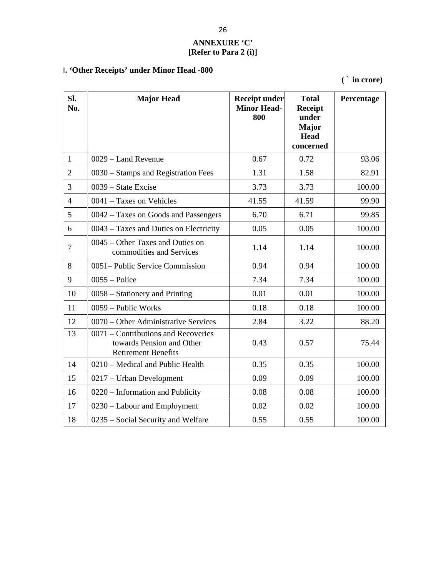## **ANNEXURE 'C' [Refer to Para 2 (i)]**

# I**. 'Other Receipts' under Minor Head -800**

**(** ` **in crore)**

| Sl.<br>No.      | <b>Major Head</b>                                                                              | <b>Receipt under</b><br><b>Minor Head-</b><br>800 | <b>Total</b><br>Receipt<br>under<br><b>Major</b><br><b>Head</b><br>concerned | Percentage |
|-----------------|------------------------------------------------------------------------------------------------|---------------------------------------------------|------------------------------------------------------------------------------|------------|
|                 | 0029 – Land Revenue                                                                            | 0.67                                              | 0.72                                                                         | 93.06      |
| $\sqrt{2}$      | 0030 – Stamps and Registration Fees                                                            | 1.31                                              | 1.58                                                                         | 82.91      |
| $\overline{3}$  | $0039$ – State Excise                                                                          | 3.73                                              | 3.73                                                                         | 100.00     |
| $\overline{4}$  | $10041$ – Taxes on Vehicles                                                                    | 41.55                                             | 41.59                                                                        | 99.90      |
| $5\overline{)}$ | 0042 – Taxes on Goods and Passengers                                                           | 6.70                                              | 6.71                                                                         | 99.85      |
| 6               | $0043$ – Taxes and Duties on Electricity                                                       | 0.05                                              | 0.05                                                                         | 100.00     |
| $\overline{7}$  | 0045 – Other Taxes and Duties on<br>commodities and Services                                   | 1.14                                              | 1.14                                                                         | 100.00     |
| 8               | 0051– Public Service Commission                                                                | 0.94                                              | 0.94                                                                         | 100.00     |
| 9               | $0055 -$ Police                                                                                | 7.34                                              | 7.34                                                                         | 100.00     |
| 10              | 0058 – Stationery and Printing                                                                 | 0.01                                              | 0.01                                                                         | 100.00     |
| 11              | 0059 – Public Works                                                                            | 0.18                                              | 0.18                                                                         | 100.00     |
| 12              | 0070 – Other Administrative Services                                                           | 2.84                                              | 3.22                                                                         | 88.20      |
| 13              | 0071 – Contributions and Recoveries<br>towards Pension and Other<br><b>Retirement Benefits</b> | 0.43                                              | 0.57                                                                         | 75.44      |
| 14              | 0210 – Medical and Public Health                                                               | 0.35                                              | 0.35                                                                         | 100.00     |
| 15              | 0217 - Urban Development                                                                       | 0.09                                              | 0.09                                                                         | 100.00     |
| 16              | 0220 – Information and Publicity                                                               | 0.08                                              | 0.08                                                                         | 100.00     |
| 17              | 0230 - Labour and Employment                                                                   | 0.02                                              | 0.02                                                                         | 100.00     |
| 18              | 0235 – Social Security and Welfare                                                             | 0.55                                              | 0.55                                                                         | 100.00     |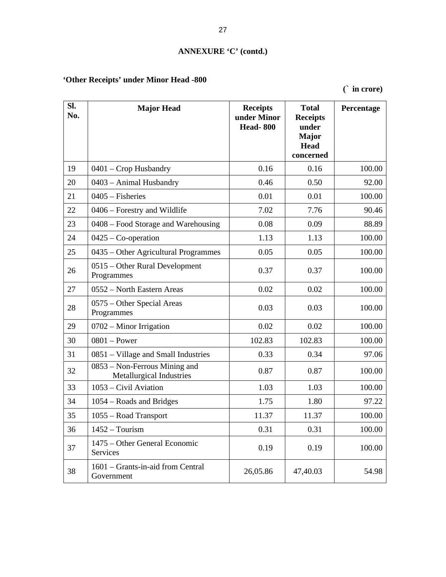# **ANNEXURE 'C' (contd.)**

# **'Other Receipts' under Minor Head -800**

**(**` **in crore)**

| Sl.<br>No. | <b>Major Head</b>                                         | <b>Receipts</b><br>under Minor<br><b>Head-800</b> | <b>Total</b><br><b>Receipts</b><br>under<br><b>Major</b><br>Head | Percentage |
|------------|-----------------------------------------------------------|---------------------------------------------------|------------------------------------------------------------------|------------|
| 19         | $0401$ – Crop Husbandry                                   | 0.16                                              | concerned<br>0.16                                                | 100.00     |
| 20         | $\vert$ 0403 – Animal Husbandry                           | 0.46                                              | 0.50                                                             | 92.00      |
|            |                                                           |                                                   |                                                                  |            |
| 21         | $0405 - Fisheries$                                        | 0.01                                              | 0.01                                                             | 100.00     |
| 22         | 0406 – Forestry and Wildlife                              | 7.02                                              | 7.76                                                             | 90.46      |
| 23         | 0408 – Food Storage and Warehousing                       | 0.08                                              | 0.09                                                             | 88.89      |
| 24         | $\vert 0425 - \text{Co-operation} \vert$                  | 1.13                                              | 1.13                                                             | 100.00     |
| 25         | 0435 – Other Agricultural Programmes                      | 0.05                                              | 0.05                                                             | 100.00     |
| 26         | 0515 – Other Rural Development<br>Programmes              | 0.37                                              | 0.37                                                             | 100.00     |
| 27         | 0552 – North Eastern Areas                                | 0.02                                              | 0.02                                                             | 100.00     |
| 28         | 0575 – Other Special Areas<br>Programmes                  | 0.03                                              | 0.03                                                             | 100.00     |
| 29         | $\sqrt{0702 - M}$ Minor Irrigation                        | 0.02                                              | 0.02                                                             | 100.00     |
| 30         | $0801 - Power$                                            | 102.83                                            | 102.83                                                           | 100.00     |
| 31         | 0851 - Village and Small Industries                       | 0.33                                              | 0.34                                                             | 97.06      |
| 32         | 0853 - Non-Ferrous Mining and<br>Metallurgical Industries | 0.87                                              | 0.87                                                             | 100.00     |
| 33         | 1053 – Civil Aviation                                     | 1.03                                              | 1.03                                                             | 100.00     |
| 34         | 1054 – Roads and Bridges                                  | 1.75                                              | 1.80                                                             | 97.22      |
| 35         | 1055 - Road Transport                                     | 11.37                                             | 11.37                                                            | 100.00     |
| 36         | $1452 - Tourism$                                          | 0.31                                              | 0.31                                                             | 100.00     |
| 37         | 1475 - Other General Economic<br>Services                 | 0.19                                              | 0.19                                                             | 100.00     |
| 38         | 1601 - Grants-in-aid from Central<br>Government           | 26,05.86                                          | 47,40.03                                                         | 54.98      |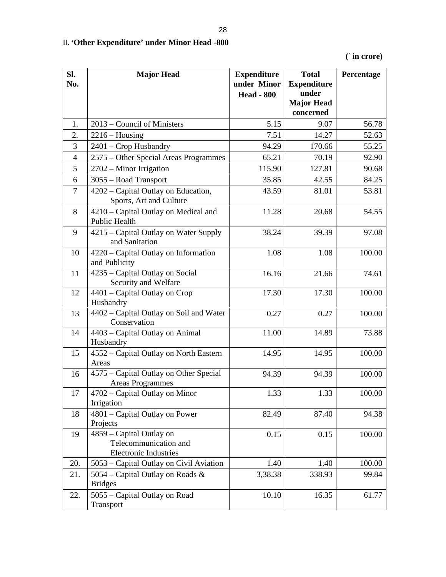# II**. 'Other Expenditure' under Minor Head -800**

**(**` **in crore)**

| Sl.<br>No. | <b>Major Head</b>                                                                      | <b>Expenditure</b><br>under Minor<br><b>Head - 800</b> | <b>Total</b><br><b>Expenditure</b><br>under<br><b>Major Head</b> | Percentage |
|------------|----------------------------------------------------------------------------------------|--------------------------------------------------------|------------------------------------------------------------------|------------|
|            |                                                                                        |                                                        | concerned                                                        |            |
|            | 2013 – Council of Ministers                                                            | 5.15                                                   | 9.07                                                             | 56.78      |
|            | $2216 - H \text{ousing}$                                                               | 7.51                                                   | 14.27                                                            | 52.63      |
|            | 2401 – Crop Husbandry                                                                  | 94.29                                                  | 170.66                                                           | 55.25      |
|            | 2575 - Other Special Areas Programmes                                                  | 65.21                                                  | 70.19                                                            | 92.90      |
|            | $2702$ – Minor Irrigation                                                              | 115.90                                                 | 127.81                                                           | 90.68      |
| 6          | 3055 - Road Transport                                                                  | 35.85                                                  | 42.55                                                            | 84.25      |
|            | 4202 – Capital Outlay on Education,<br>Sports, Art and Culture                         | 43.59                                                  | 81.01                                                            | 53.81      |
| 8          | 4210 – Capital Outlay on Medical and<br>Public Health                                  | 11.28                                                  | 20.68                                                            | 54.55      |
| 9          | 4215 - Capital Outlay on Water Supply<br>and Sanitation                                | 38.24                                                  | 39.39                                                            | 97.08      |
|            | 10 $\vert$ 4220 – Capital Outlay on Information<br>and Publicity                       | 1.08                                                   | 1.08                                                             | 100.00     |
|            | 11 $\vert$ 4235 – Capital Outlay on Social<br>Security and Welfare                     | 16.16                                                  | 21.66                                                            | 74.61      |
|            | 12 $\vert$ 4401 – Capital Outlay on Crop<br>Husbandry                                  | 17.30                                                  | 17.30                                                            | 100.00     |
|            | 13 $\vert$ 4402 – Capital Outlay on Soil and Water<br>Conservation                     | 0.27                                                   | 0.27                                                             | 100.00     |
| 14         | 4403 – Capital Outlay on Animal                                                        | 11.00                                                  | 14.89                                                            | 73.88      |
|            | Husbandry                                                                              |                                                        |                                                                  |            |
|            | 15 4552 – Capital Outlay on North Eastern<br>Areas                                     | 14.95                                                  | 14.95                                                            | 100.00     |
|            | 16 $\vert$ 4575 – Capital Outlay on Other Special<br><b>Areas Programmes</b>           | 94.39                                                  | 94.39                                                            | 100.00     |
|            | 17 $\left  4702 - \text{Capital Outlay on Minor} \right $<br>Irrigation                | 1.33                                                   | 1.33                                                             | 100.00     |
|            | 18 $\vert$ 4801 – Capital Outlay on Power<br>Projects                                  | 82.49                                                  | 87.40                                                            | 94.38      |
|            | 19   4859 – Capital Outlay on<br>Telecommunication and<br><b>Electronic Industries</b> | 0.15                                                   | 0.15                                                             | 100.00     |
|            | 20. 5053 – Capital Outlay on Civil Aviation                                            | 1.40                                                   | 1.40                                                             | 100.00     |
|            | 21.   5054 – Capital Outlay on Roads &<br><b>Bridges</b>                               | 3,38.38                                                | 338.93                                                           | 99.84      |
| 22.        | 5055 – Capital Outlay on Road<br>Transport                                             | 10.10                                                  | 16.35                                                            | 61.77      |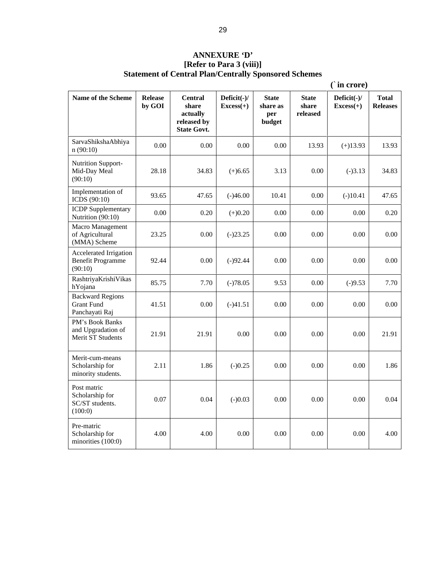# **ANNEXURE 'D' [Refer to Para 3 (viii)]**

**Statement of Central Plan/Centrally Sponsored Schemes**

|                                                                |                   |                                                                          |                               |                                           |                                   | $\hat{ }$ in crore)           |                          |
|----------------------------------------------------------------|-------------------|--------------------------------------------------------------------------|-------------------------------|-------------------------------------------|-----------------------------------|-------------------------------|--------------------------|
| Name of the Scheme                                             | Release<br>by GOI | <b>Central</b><br>share<br>actually<br>released by<br><b>State Govt.</b> | Deficit $(-)/$<br>$Excess(+)$ | <b>State</b><br>share as<br>per<br>budget | <b>State</b><br>share<br>released | Deficit $(-)/$<br>$Excess(+)$ | <b>Total</b><br>Releases |
| SarvaShikshaAbhiya<br>n(90:10)                                 | 0.00              | 0.00                                                                     | 0.00                          | $0.00\,$                                  | 13.93                             | $(+)13.93$                    | 13.93                    |
| Nutrition Support-<br>Mid-Day Meal<br>(90:10)                  | 28.18             | 34.83                                                                    | $(+)6.65$                     | 3.13                                      | 0.00                              | $(-)3.13$                     | 34.83                    |
| Implementation of<br>ICDS $(90:10)$                            | 93.65             | 47.65                                                                    | $(-)46.00$                    | 10.41                                     | $0.00\,$                          | $(-)10.41$                    | 47.65                    |
| <b>ICDP</b> Supplementary<br>Nutrition (90:10)                 | 0.00              | 0.20                                                                     | $(+)0.20$                     | $0.00\,$                                  | $0.00\,$                          | $0.00\,$                      | 0.20                     |
| Macro Management<br>of Agricultural<br>(MMA) Scheme            | 23.25             | 0.00                                                                     | $(-)23.25$                    | $0.00\,$                                  | $0.00\,$                          | $0.00\,$                      | $0.00\,$                 |
| Accelerated Irrigation<br><b>Benefit Programme</b><br>(90:10)  | 92.44             | 0.00                                                                     | $(-)92.44$                    | $0.00\,$                                  | 0.00                              | $0.00\,$                      | $0.00\,$                 |
| RashtriyaKrishiVikas<br>hYojana                                | 85.75             | 7.70                                                                     | $(-)78.05$                    | 9.53                                      | $0.00\,$                          | $(-)9.53$                     | 7.70                     |
| <b>Backward Regions</b><br><b>Grant Fund</b><br>Panchayati Raj | 41.51             | 0.00                                                                     | $(-)41.51$                    | $0.00\,$                                  | $0.00\,$                          | $0.00\,$                      | $0.00\,$                 |
| PM's Book Banks<br>and Upgradation of<br>Merit ST Students     | 21.91             | 21.91                                                                    | 0.00                          | $0.00\,$                                  | 0.00                              | $0.00\,$                      | 21.91                    |
| Merit-cum-means<br>Scholarship for<br>minority students.       | 2.11              | 1.86                                                                     | $(-)0.25$                     | $0.00\,$                                  | $0.00\,$                          | $0.00\,$                      | 1.86                     |
| Post matric<br>Scholarship for<br>SC/ST students.<br>(100:0)   | 0.07              | 0.04                                                                     | $(-)0.03$                     | $0.00\,$                                  | 0.00                              | $0.00\,$                      | 0.04                     |
| Pre-matric<br>Scholarship for<br>minorities $(100:0)$          | 4.00              | 4.00                                                                     | 0.00                          | $0.00\,$                                  | 0.00                              | $0.00\,$                      | 4.00                     |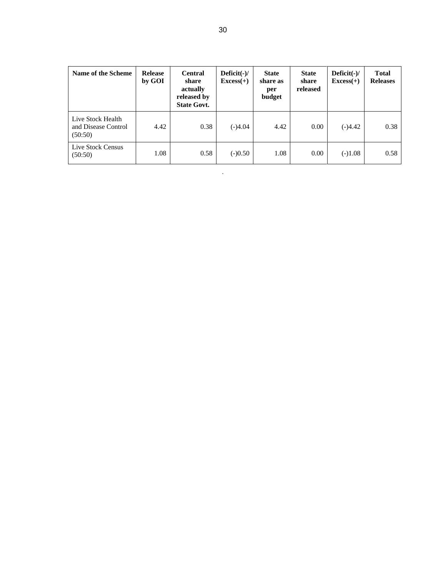.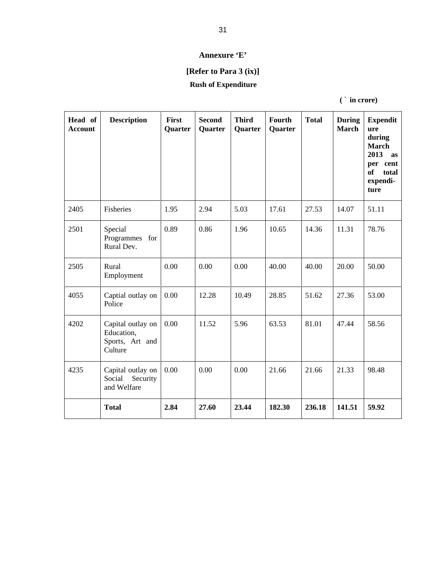#### **Annexure 'E'**

# **[Refer to Para 3 (ix)]**

#### **Rush of Expenditure**

|                    |                                                                                  |          |                                    |                                |                          |       | in crore)           |                                                                                                       |
|--------------------|----------------------------------------------------------------------------------|----------|------------------------------------|--------------------------------|--------------------------|-------|---------------------|-------------------------------------------------------------------------------------------------------|
| Head of<br>Account | Description                                                                      | First    | <b>Second</b><br>Quarter   Quarter | <b>Third</b><br><b>Quarter</b> | Fourth<br><b>Quarter</b> | Total | March   ure         | During Expendit<br>during<br><b>March</b><br>$2013$ as<br>per cent<br>of<br>total<br>expendi-<br>ture |
| 2405               | Fisheries                                                                        | 1.95     | 2.94                               | 5.03                           | 17.61                    | 27.53 | 14.07               | 51.11                                                                                                 |
| 2501               | Special<br>Programmes for<br>Rural Dev.                                          | 0.89     | 0.86                               | 1.96                           | 10.65                    | 14.36 | 11.31               | 78.76                                                                                                 |
| 2505               | Rural<br>Employment                                                              | $0.00\,$ | 0.00                               | $0.00\,$                       | 40.00                    | 40.00 | 20.00               | 50.00                                                                                                 |
| 4055               | Captial outlay on $\vert 0.00 \vert$<br>Police                                   |          | 12.28                              | 10.49                          | 28.85                    | 51.62 | 27.36               | 53.00                                                                                                 |
| 4202               | Capital outlay on $\vert 0.00 \vert$<br>Education,<br>Sports, Art and<br>Culture |          | 11.52                              | 5.96                           | 63.53                    | 81.01 | 47.44               | 58.56                                                                                                 |
| 4235               | Capital outlay on $\vert 0.00 \vert$<br>Social Security<br>and Welfare           |          | 0.00                               | $0.00\,$                       | 21.66                    | 21.66 | 21.33               | 98.48                                                                                                 |
|                    | <b>Total</b>                                                                     | 2.84     | 27.60                              | 23.44                          | 182.30                   |       | 236.18 141.51 59.92 |                                                                                                       |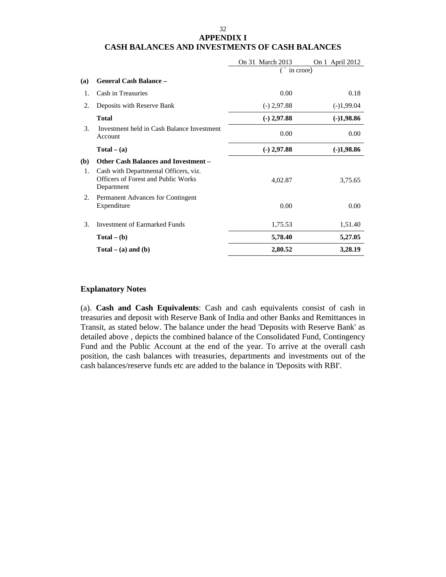#### 32 **APPENDIX I CASH BALANCES AND INVESTMENTS OF CASH BALANCES**

|                                                                                            | On 31 March 2013 | On 1 April 2012 |
|--------------------------------------------------------------------------------------------|------------------|-----------------|
|                                                                                            | in crore)        |                 |
| (a) General Cash Balance -                                                                 |                  |                 |
| Cash in Treasuries                                                                         | 0.00             | 0.18            |
| 2. Deposits with Reserve Bank                                                              | $(-)$ 2,97.88    | $(-)1,99.04$    |
| <b>Total</b>                                                                               | $(-)$ 2,97.88    | $(-)1,98.86$    |
| Investment held in Cash Balance Investment<br>3.<br>Account                                | 0.00             | $0.00\,$        |
| $Total - (a)$                                                                              | $(-)$ 2,97.88    | $(-)1,98.86$    |
| (b) Other Cash Balances and Investment -                                                   |                  |                 |
| Cash with Departmental Officers, viz.<br>Officers of Forest and Public Works<br>Department | 4,02.87          | 3,75.65         |
| 2. Permanent Advances for Contingent<br>Expenditure                                        | 0.00             | $0.00\,$        |
| <b>Investment of Earmarked Funds</b>                                                       | 1,75.53          | 1,51.40         |
| $Total - (b)$                                                                              | 5,78.40          | 5,27.05         |
| $Total - (a)$ and $(b)$                                                                    | 2,80.52          | 3,28.19         |

#### **Explanatory Notes**

(a). **Cash and Cash Equivalents**: Cash and cash equivalents consist of cash in treasuries and deposit with Reserve Bank of India and other Banks and Remittances in Transit, as stated below. The balance under the head 'Deposits with Reserve Bank' as detailed above, depicts the combined balance of the Consolidated Fund, Contingency Fund and the Public Account at the end of the year. To arrive at the overall cash position, the cash balances with treasuries, departments and investments out of the cash balances/reserve funds etc are added to the balance in 'Deposits with RBI'.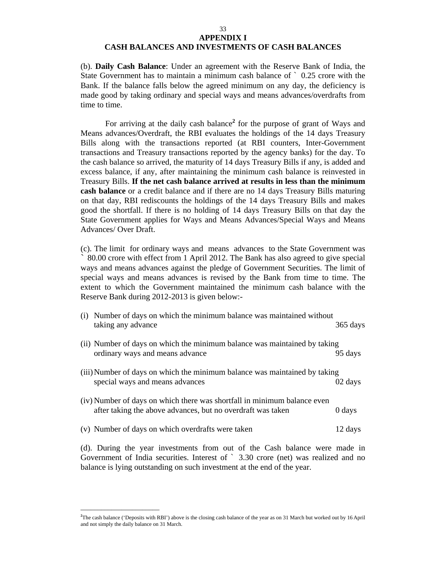#### 33 **APPENDIX I**

#### **CASH BALANCES AND INVESTMENTS OF CASH BALANCES**

(b). **Daily Cash Balance**: Under an agreement with the Reserve Bank of India, the State Government has to maintain a minimum cash balance of ` 0.25 crore with the Bank. If the balance falls below the agreed minimum on any day, the deficiency is made good by taking ordinary and special ways and means advances/overdrafts from time to time.

For arriving at the daily cash balance<sup>2</sup> for the purpose of grant of Ways and Means advances/Overdraft, the RBI evaluates the holdings of the 14 days Treasury Bills along with the transactions reported (at RBI counters, Inter-Government transactions and Treasury transactions reported by the agency banks) for the day. To the cash balance so arrived, the maturity of 14 days Treasury Bills if any, is added and excess balance, if any, after maintaining the minimum cash balance is reinvested in Treasury Bills. **If the net cash balance arrived at results in less than the minimum cash balance** or a credit balance and if there are no 14 days Treasury Bills maturing on that day, RBI rediscounts the holdings of the 14 days Treasury Bills and makes good the shortfall. If there is no holding of 14 days Treasury Bills on that day the State Government applies for Ways and Means Advances/Special Ways and Means Advances/ Over Draft.

(c). The limit for ordinary ways and means advances to the State Government was ` 80.00 crore with effect from 1 April 2012. The Bank has also agreed to give special ways and means advances against the pledge of Government Securities. The limit of special ways and means advances is revised by the Bank from time to time. The extent to which the Government maintained the minimum cash balance with the Reserve Bank during 2012-2013 is given below:-

| (i) Number of days on which the minimum balance was maintained without     |                    |
|----------------------------------------------------------------------------|--------------------|
| taking any advance                                                         | $365 \text{ days}$ |
| (ii) Number of days on which the minimum balance was maintained by taking  |                    |
| ordinary ways and means advance                                            | 95 days            |
| (iii) Number of days on which the minimum balance was maintained by taking |                    |
| special ways and means advances                                            | 02 days            |
| (iv) Number of days on which there was shortfall in minimum balance even   |                    |
| after taking the above advances, but no overdraft was taken                | 0 days             |
| (v) Number of days on which overdrafts were taken                          | 12 days            |
| (d). During the year investments from out of the Cash balance were made in |                    |

Government of India securities. Interest of ` 3.30 crore (net) was realized and no balance is lying outstanding on such investment at the end of the year.

 $\overline{\phantom{a}}$  , and the contract of the contract of the contract of the contract of the contract of the contract of the contract of the contract of the contract of the contract of the contract of the contract of the contrac

**<sup>2</sup>**The cash balance ('Deposits with RBI') above is the closing cash balance of the year as on 31 March but worked out by 16 April and not simply the daily balance on 31 March.